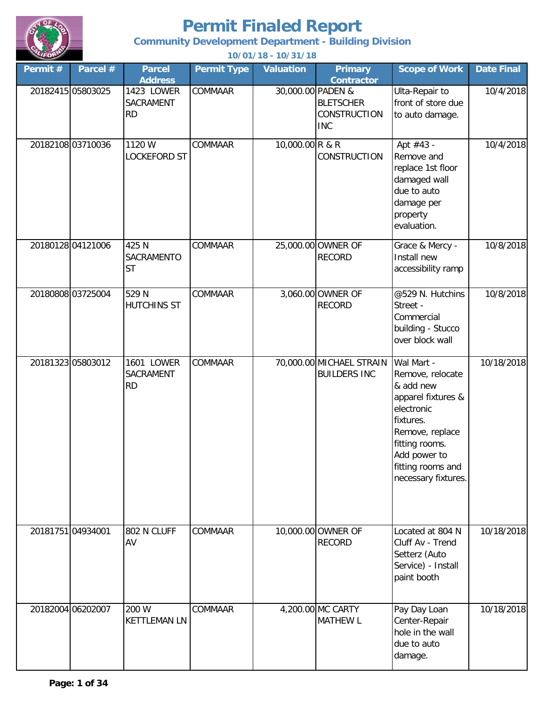

**Community Development Department - Building Division**

| Permit#           | Parcel #          | <b>Parcel</b><br><b>Address</b>      | <b>Permit Type</b> | <b>Valuation</b>  | <b>Primary</b><br><b>Contractor</b>                   | <b>Scope of Work</b>                                                                                                                                                                          | Date Final |
|-------------------|-------------------|--------------------------------------|--------------------|-------------------|-------------------------------------------------------|-----------------------------------------------------------------------------------------------------------------------------------------------------------------------------------------------|------------|
|                   | 20182415 05803025 | 1423 LOWER<br>SACRAMENT<br><b>RD</b> | COMMAAR            | 30,000.00 PADEN & | <b>BLETSCHER</b><br><b>CONSTRUCTION</b><br><b>INC</b> | Ulta-Repair to<br>front of store due<br>to auto damage.                                                                                                                                       | 10/4/2018  |
|                   | 20182108 03710036 | 1120 W<br>LOCKEFORD ST               | COMMAAR            | 10,000.00 R & R   | <b>CONSTRUCTION</b>                                   | Apt #43 -<br>Remove and<br>replace 1st floor<br>damaged wall<br>due to auto<br>damage per<br>property<br>evaluation.                                                                          | 10/4/2018  |
|                   | 20180128 04121006 | 425 N<br>SACRAMENTO<br><b>ST</b>     | COMMAAR            |                   | 25,000.00 OWNER OF<br><b>RECORD</b>                   | Grace & Mercy -<br>Install new<br>accessibility ramp                                                                                                                                          | 10/8/2018  |
|                   | 20180808 03725004 | 529 N<br>HUTCHINS ST                 | COMMAAR            |                   | 3,060.00 OWNER OF<br><b>RECORD</b>                    | @529 N. Hutchins<br>Street -<br>Commercial<br>building - Stucco<br>over block wall                                                                                                            | 10/8/2018  |
|                   | 20181323 05803012 | 1601 LOWER<br>SACRAMENT<br><b>RD</b> | <b>COMMAAR</b>     |                   | 70,000.00 MICHAEL STRAIN<br><b>BUILDERS INC</b>       | Wal Mart -<br>Remove, relocate<br>& add new<br>apparel fixtures &<br>electronic<br>fixtures.<br>Remove, replace<br>fitting rooms.<br>Add power to<br>fitting rooms and<br>necessary fixtures. | 10/18/2018 |
| 20181751 04934001 |                   | 802 N CLUFF<br>AV                    | COMMAAR            |                   | 10,000.00 OWNER OF<br><b>RECORD</b>                   | Located at 804 N<br>Cluff Av - Trend<br>Setterz (Auto<br>Service) - Install<br>paint booth                                                                                                    | 10/18/2018 |
|                   | 20182004 06202007 | 200 W<br><b>KETTLEMAN LN</b>         | COMMAAR            |                   | 4,200.00 MC CARTY<br><b>MATHEW L</b>                  | Pay Day Loan<br>Center-Repair<br>hole in the wall<br>due to auto<br>damage.                                                                                                                   | 10/18/2018 |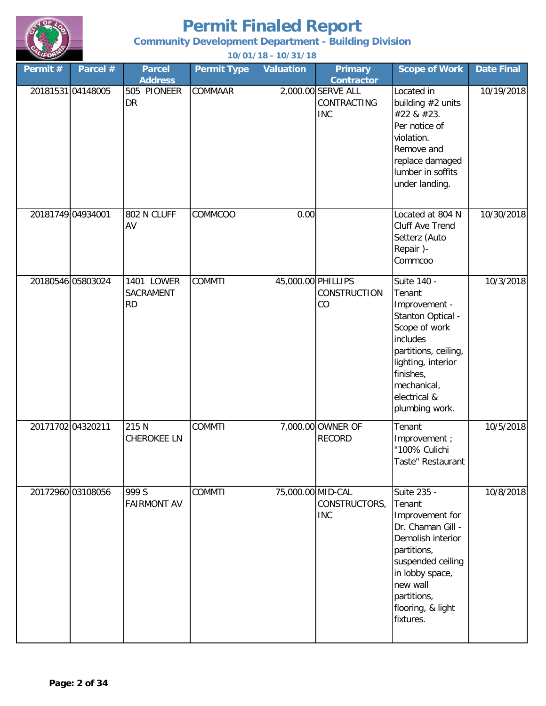

**Community Development Department - Building Division**

| Permit #          | Parcel #          | <b>Parcel</b><br><b>Address</b>      | <b>Permit Type</b> | <b>Valuation</b>   | <b>Primary</b><br><b>Contractor</b>             | <b>Scope of Work</b>                                                                                                                                                                                   | <b>Date Final</b> |
|-------------------|-------------------|--------------------------------------|--------------------|--------------------|-------------------------------------------------|--------------------------------------------------------------------------------------------------------------------------------------------------------------------------------------------------------|-------------------|
|                   | 20181531 04148005 | 505 PIONEER<br><b>DR</b>             | <b>COMMAAR</b>     |                    | 2,000.00 SERVE ALL<br>CONTRACTING<br><b>INC</b> | Located in<br>building #2 units<br>#22 & #23.<br>Per notice of<br>violation.<br>Remove and<br>replace damaged<br>lumber in soffits<br>under landing.                                                   | 10/19/2018        |
| 20181749 04934001 |                   | 802 N CLUFF<br>AV                    | COMMCOO            | 0.00               |                                                 | Located at 804 N<br><b>Cluff Ave Trend</b><br>Setterz (Auto<br>Repair)-<br>Commcoo                                                                                                                     | 10/30/2018        |
|                   | 20180546 05803024 | 1401 LOWER<br>SACRAMENT<br><b>RD</b> | <b>COMMTI</b>      | 45,000.00 PHILLIPS | <b>CONSTRUCTION</b><br>CO                       | Suite 140 -<br>Tenant<br>Improvement -<br>Stanton Optical -<br>Scope of work<br>includes<br>partitions, ceiling,<br>lighting, interior<br>finishes,<br>mechanical,<br>electrical &<br>plumbing work.   | 10/3/2018         |
| 20171702 04320211 |                   | 215 N<br><b>CHEROKEE LN</b>          | <b>COMMTI</b>      |                    | 7,000.00 OWNER OF<br><b>RECORD</b>              | Tenant<br>Improvement;<br>"100% Culichi<br>Taste" Restaurant                                                                                                                                           | 10/5/2018         |
|                   | 20172960 03108056 | 999 S<br><b>FAIRMONT AV</b>          | <b>COMMTI</b>      | 75,000.00 MID-CAL  | CONSTRUCTORS,<br><b>INC</b>                     | Suite 235 -<br>Tenant<br>Improvement for<br>Dr. Chaman Gill -<br>Demolish interior<br>partitions,<br>suspended ceiling<br>in lobby space,<br>new wall<br>partitions,<br>flooring, & light<br>fixtures. | 10/8/2018         |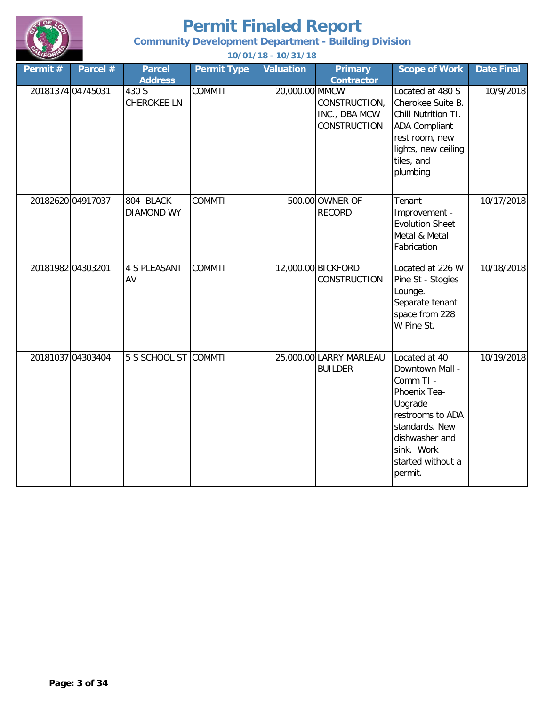

#### **Community Development Department - Building Division**

| Permit #          | Parcel #          | <b>Parcel</b><br><b>Address</b> | <b>Permit Type</b> | <b>Valuation</b> | <b>Primary</b><br><b>Contractor</b>                   | <b>Scope of Work</b>                                                                                                                                                           | <b>Date Final</b> |
|-------------------|-------------------|---------------------------------|--------------------|------------------|-------------------------------------------------------|--------------------------------------------------------------------------------------------------------------------------------------------------------------------------------|-------------------|
| 20181374 04745031 |                   | 430 S<br><b>CHEROKEE LN</b>     | <b>COMMTI</b>      | 20,000.00 MMCW   | CONSTRUCTION,<br>INC., DBA MCW<br><b>CONSTRUCTION</b> | Located at 480 S<br>Cherokee Suite B.<br>Chill Nutrition TI.<br><b>ADA Compliant</b><br>rest room, new<br>lights, new ceiling<br>tiles, and<br>plumbing                        | 10/9/2018         |
|                   | 20182620 04917037 | 804 BLACK<br><b>DIAMOND WY</b>  | <b>COMMTI</b>      |                  | 500.00 OWNER OF<br><b>RECORD</b>                      | Tenant<br>Improvement -<br><b>Evolution Sheet</b><br>Metal & Metal<br>Fabrication                                                                                              | 10/17/2018        |
| 20181982 04303201 |                   | <b>4 S PLEASANT</b><br>AV       | <b>COMMTI</b>      |                  | 12,000.00 BICKFORD<br><b>CONSTRUCTION</b>             | Located at 226 W<br>Pine St - Stogies<br>Lounge.<br>Separate tenant<br>space from 228<br>W Pine St.                                                                            | 10/18/2018        |
|                   | 20181037 04303404 | 5 S SCHOOL ST COMMTI            |                    |                  | 25,000.00 LARRY MARLEAU<br><b>BUILDER</b>             | Located at 40<br>Downtown Mall -<br>Comm TI -<br>Phoenix Tea-<br>Upgrade<br>restrooms to ADA<br>standards. New<br>dishwasher and<br>sink. Work<br>started without a<br>permit. | 10/19/2018        |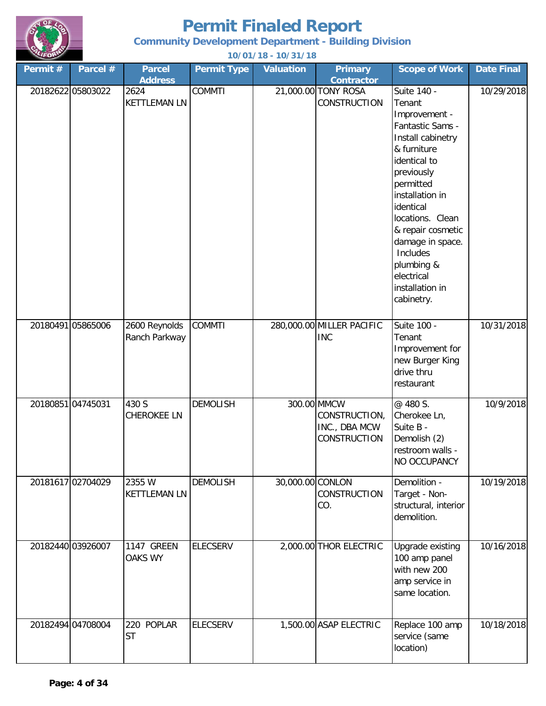

#### **Community Development Department - Building Division**

| Permit #          | Parcel #          | <b>Parcel</b><br><b>Address</b> | <b>Permit Type</b> | <b>Valuation</b> | <b>Primary</b><br><b>Contractor</b>                           | <b>Scope of Work</b>                                                                                                                                                                                                                                                                                            | Date Final |
|-------------------|-------------------|---------------------------------|--------------------|------------------|---------------------------------------------------------------|-----------------------------------------------------------------------------------------------------------------------------------------------------------------------------------------------------------------------------------------------------------------------------------------------------------------|------------|
|                   | 20182622 05803022 | 2624<br><b>KETTLEMAN LN</b>     | <b>COMMTI</b>      |                  | 21,000.00 TONY ROSA<br>CONSTRUCTION                           | Suite 140 -<br>Tenant<br>Improvement -<br>Fantastic Sams -<br>Install cabinetry<br>& furniture<br>identical to<br>previously<br>permitted<br>installation in<br>identical<br>locations. Clean<br>& repair cosmetic<br>damage in space.<br>Includes<br>plumbing &<br>electrical<br>installation in<br>cabinetry. | 10/29/2018 |
|                   | 20180491 05865006 | 2600 Reynolds<br>Ranch Parkway  | <b>COMMTI</b>      |                  | 280,000.00 MILLER PACIFIC<br><b>INC</b>                       | Suite 100 -<br>Tenant<br>Improvement for<br>new Burger King<br>drive thru<br>restaurant                                                                                                                                                                                                                         | 10/31/2018 |
| 20180851 04745031 |                   | 430 S<br><b>CHEROKEE LN</b>     | <b>DEMOLISH</b>    |                  | 300.00 MMCW<br>CONSTRUCTION,<br>INC., DBA MCW<br>CONSTRUCTION | @ 480 S.<br>Cherokee Ln,<br>Suite B -<br>Demolish (2)<br>restroom walls -<br>NO OCCUPANCY                                                                                                                                                                                                                       | 10/9/2018  |
|                   | 20181617 02704029 | 2355 W<br><b>KETTLEMAN LN</b>   | <b>DEMOLISH</b>    | 30,000.00 CONLON | <b>CONSTRUCTION</b><br>CO.                                    | Demolition -<br>Target - Non-<br>structural, interior<br>demolition.                                                                                                                                                                                                                                            | 10/19/2018 |
|                   | 20182440 03926007 | 1147 GREEN<br><b>OAKS WY</b>    | <b>ELECSERV</b>    |                  | 2,000.00 THOR ELECTRIC                                        | Upgrade existing<br>100 amp panel<br>with new 200<br>amp service in<br>same location.                                                                                                                                                                                                                           | 10/16/2018 |
|                   | 20182494 04708004 | 220 POPLAR<br><b>ST</b>         | <b>ELECSERV</b>    |                  | 1,500.00 ASAP ELECTRIC                                        | Replace 100 amp<br>service (same<br>location)                                                                                                                                                                                                                                                                   | 10/18/2018 |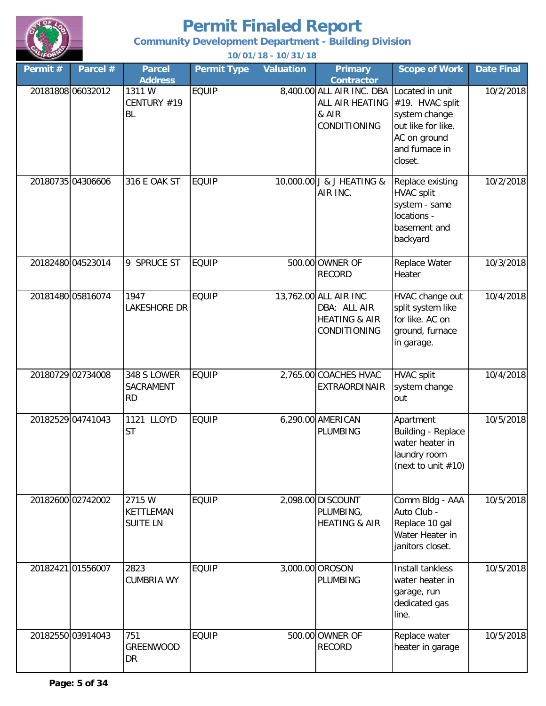

**Community Development Department - Building Division**

| Permit # | Parcel #          | <b>Parcel</b><br><b>Address</b>               | <b>Permit Type</b> | <b>Valuation</b> | <b>Primary</b><br><b>Contractor</b>                                                                          | <b>Scope of Work</b>                                                                              | <b>Date Final</b> |
|----------|-------------------|-----------------------------------------------|--------------------|------------------|--------------------------------------------------------------------------------------------------------------|---------------------------------------------------------------------------------------------------|-------------------|
|          | 20181808 06032012 | 1311W<br>CENTURY #19<br><b>BL</b>             | <b>EQUIP</b>       |                  | 8,400.00 ALL AIR INC. DBA Located in unit<br>ALL AIR HEATING #19. HVAC split<br>& AIR<br><b>CONDITIONING</b> | system change<br>out like for like.<br>AC on ground<br>and furnace in<br>closet.                  | 10/2/2018         |
|          | 20180735 04306606 | 316 E OAK ST                                  | <b>EQUIP</b>       |                  | 10,000.00 J & J HEATING &<br>AIR INC.                                                                        | Replace existing<br><b>HVAC split</b><br>system - same<br>locations -<br>basement and<br>backyard | 10/2/2018         |
|          | 20182480 04523014 | 9 SPRUCE ST                                   | <b>EQUIP</b>       |                  | 500.00 OWNER OF<br><b>RECORD</b>                                                                             | Replace Water<br>Heater                                                                           | 10/3/2018         |
|          | 20181480 05816074 | 1947<br>LAKESHORE DR                          | <b>EQUIP</b>       |                  | 13,762.00 ALL AIR INC<br>DBA: ALL AIR<br><b>HEATING &amp; AIR</b><br>CONDITIONING                            | HVAC change out<br>split system like<br>for like. AC on<br>ground, furnace<br>in garage.          | 10/4/2018         |
|          | 20180729 02734008 | 348 S LOWER<br>SACRAMENT<br><b>RD</b>         | <b>EQUIP</b>       |                  | 2,765.00 COACHES HVAC<br>EXTRAORDINAIR                                                                       | <b>HVAC split</b><br>system change<br>out                                                         | 10/4/2018         |
|          | 20182529 04741043 | 1121 LLOYD<br><b>ST</b>                       | <b>EQUIP</b>       |                  | 6,290.00 AMERICAN<br><b>PLUMBING</b>                                                                         | Apartment<br>Building - Replace<br>water heater in<br>laundry room<br>(next to unit $#10$ )       | 10/5/2018         |
|          | 20182600 02742002 | 2715 W<br><b>KETTLEMAN</b><br><b>SUITE LN</b> | <b>EQUIP</b>       |                  | 2,098.00 DISCOUNT<br>PLUMBING,<br><b>HEATING &amp; AIR</b>                                                   | Comm Bldg - AAA<br>Auto Club -<br>Replace 10 gal<br>Water Heater in<br>janitors closet.           | 10/5/2018         |
|          | 20182421 01556007 | 2823<br><b>CUMBRIA WY</b>                     | <b>EQUIP</b>       |                  | 3,000.00 OROSON<br><b>PLUMBING</b>                                                                           | Install tankless<br>water heater in<br>garage, run<br>dedicated gas<br>line.                      | 10/5/2018         |
|          | 20182550 03914043 | 751<br><b>GREENWOOD</b><br><b>DR</b>          | <b>EQUIP</b>       |                  | 500.00 OWNER OF<br><b>RECORD</b>                                                                             | Replace water<br>heater in garage                                                                 | 10/5/2018         |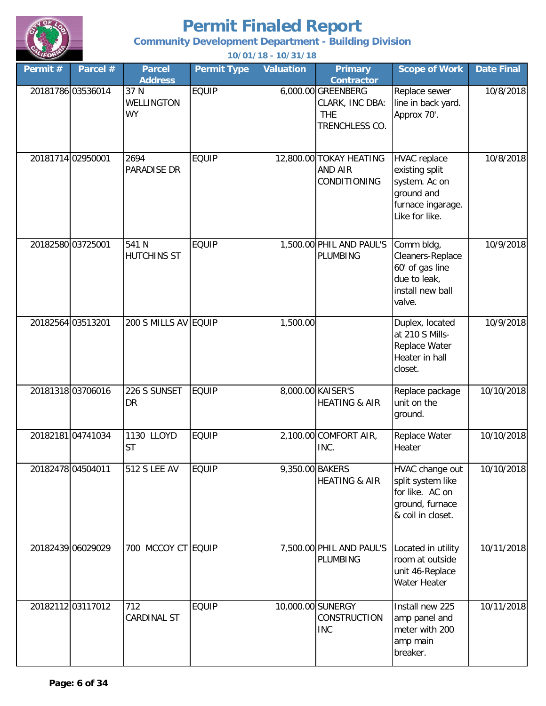

**Community Development Department - Building Division**

| Permit # | Parcel #          | <b>Parcel</b><br><b>Address</b>        | <b>Permit Type</b> | <b>Valuation</b> | <b>Primary</b><br><b>Contractor</b>                                   | <b>Scope of Work</b>                                                                                        | <b>Date Final</b> |
|----------|-------------------|----------------------------------------|--------------------|------------------|-----------------------------------------------------------------------|-------------------------------------------------------------------------------------------------------------|-------------------|
|          | 20181786 03536014 | 37 N<br><b>WELLINGTON</b><br><b>WY</b> | <b>EQUIP</b>       |                  | 6,000.00 GREENBERG<br>CLARK, INC DBA:<br><b>THE</b><br>TRENCHLESS CO. | Replace sewer<br>line in back yard.<br>Approx 70'.                                                          | 10/8/2018         |
|          | 20181714 02950001 | 2694<br>PARADISE DR                    | <b>EQUIP</b>       |                  | 12,800.00 TOKAY HEATING<br><b>AND AIR</b><br>CONDITIONING             | <b>HVAC</b> replace<br>existing split<br>system. Ac on<br>ground and<br>furnace ingarage.<br>Like for like. | 10/8/2018         |
|          | 20182580 03725001 | 541 N<br><b>HUTCHINS ST</b>            | <b>EQUIP</b>       |                  | 1,500.00 PHIL AND PAUL'S<br>PLUMBING                                  | Comm bldg,<br>Cleaners-Replace<br>60' of gas line<br>due to leak,<br>install new ball<br>valve.             | 10/9/2018         |
|          | 20182564 03513201 | 200 S MILLS AV EQUIP                   |                    | 1,500.00         |                                                                       | Duplex, located<br>at 210 S Mills-<br>Replace Water<br>Heater in hall<br>closet.                            | 10/9/2018         |
|          | 20181318 03706016 | 226 S SUNSET<br><b>DR</b>              | <b>EQUIP</b>       |                  | 8,000.00 KAISER'S<br><b>HEATING &amp; AIR</b>                         | Replace package<br>unit on the<br>ground.                                                                   | 10/10/2018        |
|          | 20182181 04741034 | 1130 LLOYD<br><b>ST</b>                | <b>EQUIP</b>       |                  | 2,100.00 COMFORT AIR,<br>INC.                                         | Replace Water<br>Heater                                                                                     | 10/10/2018        |
|          | 20182478 04504011 | <b>512 S LEE AV</b>                    | <b>EQUIP</b>       | 9,350.00 BAKERS  | <b>HEATING &amp; AIR</b>                                              | HVAC change out<br>split system like<br>for like. AC on<br>ground, furnace<br>& coil in closet.             | 10/10/2018        |
|          | 20182439 06029029 | 700 MCCOY CT EQUIP                     |                    |                  | 7,500.00 PHIL AND PAUL'S<br><b>PLUMBING</b>                           | Located in utility<br>room at outside<br>unit 46-Replace<br>Water Heater                                    | 10/11/2018        |
|          | 20182112 03117012 | 712<br><b>CARDINAL ST</b>              | <b>EQUIP</b>       |                  | 10,000.00 SUNERGY<br>CONSTRUCTION<br><b>INC</b>                       | Install new 225<br>amp panel and<br>meter with 200<br>amp main<br>breaker.                                  | 10/11/2018        |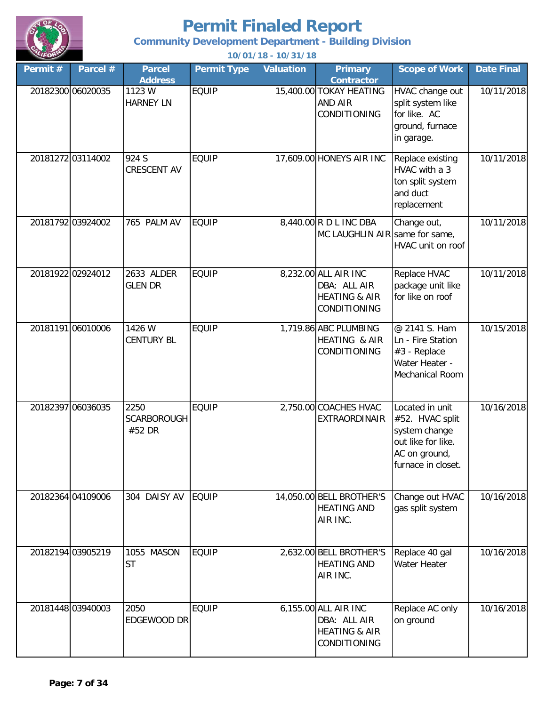

**Community Development Department - Building Division**

| Permit # | Parcel #          | <b>Parcel</b><br><b>Address</b>      | <b>Permit Type</b> | <b>Valuation</b> | <b>Primary</b><br><b>Contractor</b>                                              | <b>Scope of Work</b>                                                                                             | <b>Date Final</b> |
|----------|-------------------|--------------------------------------|--------------------|------------------|----------------------------------------------------------------------------------|------------------------------------------------------------------------------------------------------------------|-------------------|
|          | 20182300 06020035 | 1123 W<br><b>HARNEY LN</b>           | <b>EQUIP</b>       |                  | 15,400.00 TOKAY HEATING<br><b>AND AIR</b><br><b>CONDITIONING</b>                 | HVAC change out<br>split system like<br>for like. AC<br>ground, furnace<br>in garage.                            | 10/11/2018        |
|          | 20181272 03114002 | 924 S<br><b>CRESCENT AV</b>          | <b>EQUIP</b>       |                  | 17,609.00 HONEYS AIR INC                                                         | Replace existing<br>HVAC with a 3<br>ton split system<br>and duct<br>replacement                                 | 10/11/2018        |
|          | 20181792 03924002 | 765 PALM AV                          | <b>EQUIP</b>       |                  | 8,440.00 R D L INC DBA<br>MC LAUGHLIN AIR same for same,                         | Change out,<br>HVAC unit on roof                                                                                 | 10/11/2018        |
|          | 20181922 02924012 | 2633 ALDER<br><b>GLEN DR</b>         | <b>EQUIP</b>       |                  | 8,232.00 ALL AIR INC<br>DBA: ALL AIR<br><b>HEATING &amp; AIR</b><br>CONDITIONING | Replace HVAC<br>package unit like<br>for like on roof                                                            | 10/11/2018        |
|          | 20181191 06010006 | 1426 W<br><b>CENTURY BL</b>          | <b>EQUIP</b>       |                  | 1,719.86 ABC PLUMBING<br>HEATING & AIR<br>CONDITIONING                           | @ 2141 S. Ham<br>Ln - Fire Station<br>#3 - Replace<br>Water Heater -<br>Mechanical Room                          | 10/15/2018        |
|          | 20182397 06036035 | 2250<br><b>SCARBOROUGH</b><br>#52 DR | <b>EQUIP</b>       |                  | 2,750.00 COACHES HVAC<br><b>EXTRAORDINAIR</b>                                    | Located in unit<br>#52. HVAC split<br>system change<br>out like for like.<br>AC on ground,<br>furnace in closet. | 10/16/2018        |
|          | 20182364 04109006 | 304 DAISY AV                         | <b>EQUIP</b>       |                  | 14,050.00 BELL BROTHER'S<br><b>HEATING AND</b><br>AIR INC.                       | Change out HVAC<br>gas split system                                                                              | 10/16/2018        |
|          | 20182194 03905219 | 1055 MASON<br><b>ST</b>              | <b>EQUIP</b>       |                  | 2,632.00 BELL BROTHER'S<br><b>HEATING AND</b><br>AIR INC.                        | Replace 40 gal<br><b>Water Heater</b>                                                                            | 10/16/2018        |
|          | 20181448 03940003 | 2050<br>EDGEWOOD DR                  | <b>EQUIP</b>       |                  | 6,155.00 ALL AIR INC<br>DBA: ALL AIR<br><b>HEATING &amp; AIR</b><br>CONDITIONING | Replace AC only<br>on ground                                                                                     | 10/16/2018        |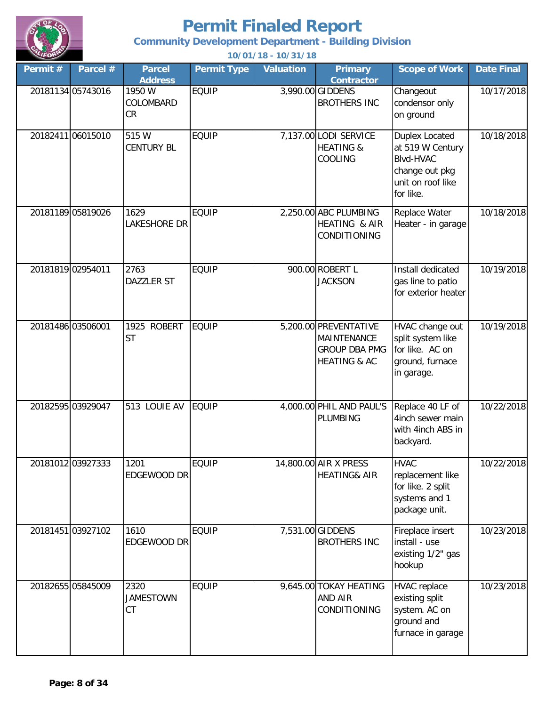

**Community Development Department - Building Division**

| Permit #          | Parcel #          | <b>Parcel</b><br><b>Address</b> | <b>Permit Type</b> | <b>Valuation</b> | <b>Primary</b><br><b>Contractor</b>                                                     | <b>Scope of Work</b>                                                                                              | <b>Date Final</b> |
|-------------------|-------------------|---------------------------------|--------------------|------------------|-----------------------------------------------------------------------------------------|-------------------------------------------------------------------------------------------------------------------|-------------------|
|                   | 20181134 05743016 | 1950 W<br>COLOMBARD<br>CR       | <b>EQUIP</b>       |                  | 3,990.00 GIDDENS<br><b>BROTHERS INC</b>                                                 | Changeout<br>condensor only<br>on ground                                                                          | 10/17/2018        |
|                   | 20182411 06015010 | 515 W<br><b>CENTURY BL</b>      | <b>EQUIP</b>       |                  | 7,137.00 LODI SERVICE<br><b>HEATING &amp;</b><br>COOLING                                | <b>Duplex Located</b><br>at 519 W Century<br><b>Blvd-HVAC</b><br>change out pkg<br>unit on roof like<br>for like. | 10/18/2018        |
|                   | 20181189 05819026 | 1629<br>Lakeshore Dr            | <b>EQUIP</b>       |                  | 2,250.00 ABC PLUMBING<br>HEATING & AIR<br>CONDITIONING                                  | Replace Water<br>Heater - in garage                                                                               | 10/18/2018        |
| 20181819 02954011 |                   | 2763<br><b>DAZZLER ST</b>       | <b>EQUIP</b>       |                  | 900.00 ROBERT L<br><b>JACKSON</b>                                                       | Install dedicated<br>gas line to patio<br>for exterior heater                                                     | 10/19/2018        |
| 20181486 03506001 |                   | 1925 ROBERT<br><b>ST</b>        | <b>EQUIP</b>       |                  | 5,200.00 PREVENTATIVE<br>MAINTENANCE<br><b>GROUP DBA PMG</b><br><b>HEATING &amp; AC</b> | HVAC change out<br>split system like<br>for like. AC on<br>ground, furnace<br>in garage.                          | 10/19/2018        |
|                   | 20182595 03929047 | 513 LOUIE AV                    | <b>EQUIP</b>       |                  | 4,000.00 PHIL AND PAUL'S<br><b>PLUMBING</b>                                             | Replace 40 LF of<br>4inch sewer main<br>with 4inch ABS in<br>backyard.                                            | 10/22/2018        |
|                   | 20181012 03927333 | 1201<br>EDGEWOOD DR             | <b>EQUIP</b>       |                  | 14,800.00 AIR X PRESS<br><b>HEATING&amp; AIR</b>                                        | <b>HVAC</b><br>replacement like<br>for like. 2 split<br>systems and 1<br>package unit.                            | 10/22/2018        |
|                   | 20181451 03927102 | 1610<br>EDGEWOOD DR             | <b>EQUIP</b>       |                  | 7,531.00 GIDDENS<br><b>BROTHERS INC</b>                                                 | Fireplace insert<br>install - use<br>existing 1/2" gas<br>hookup                                                  | 10/23/2018        |
|                   | 20182655 05845009 | 2320<br><b>JAMESTOWN</b><br>CT  | <b>EQUIP</b>       |                  | 9,645.00 TOKAY HEATING<br>AND AIR<br>CONDITIONING                                       | <b>HVAC</b> replace<br>existing split<br>system. AC on<br>ground and<br>furnace in garage                         | 10/23/2018        |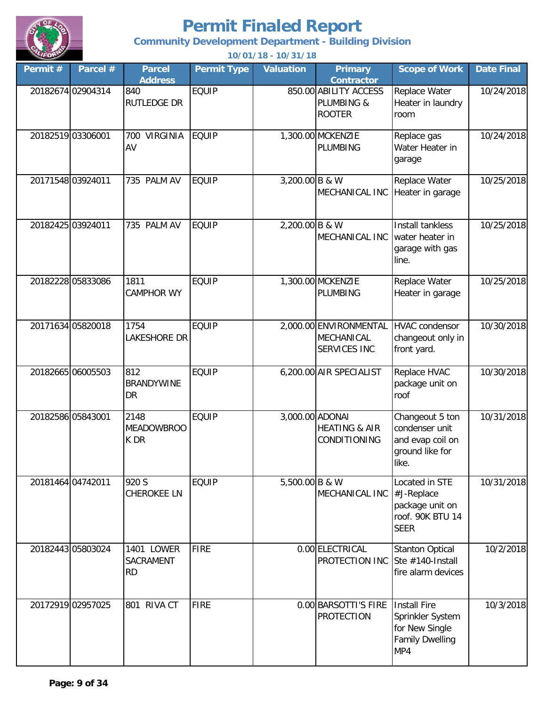

**Community Development Department - Building Division**

| Permit # | Parcel #          | <b>Parcel</b><br><b>Address</b>       | <b>Permit Type</b> | Valuation        | <b>Primary</b><br><b>Contractor</b>                         | <b>Scope of Work</b>                                                                | <b>Date Final</b> |
|----------|-------------------|---------------------------------------|--------------------|------------------|-------------------------------------------------------------|-------------------------------------------------------------------------------------|-------------------|
|          | 20182674 02904314 | 840<br><b>RUTLEDGE DR</b>             | <b>EQUIP</b>       |                  | 850.00 ABILITY ACCESS<br>PLUMBING &<br><b>ROOTER</b>        | Replace Water<br>Heater in laundry<br>room                                          | 10/24/2018        |
|          | 20182519 03306001 | <b>VIRGINIA</b><br>700<br>AV          | <b>EQUIP</b>       |                  | 1,300.00 MCKENZIE<br>PLUMBING                               | Replace gas<br>Water Heater in<br>garage                                            | 10/24/2018        |
|          | 20171548 03924011 | 735 PALM AV                           | <b>EQUIP</b>       | $3,200.00$ B & W | MECHANICAL INC                                              | Replace Water<br>Heater in garage                                                   | 10/25/2018        |
|          | 20182425 03924011 | 735 PALM AV                           | <b>EQUIP</b>       | 2,200.00 B & W   | MECHANICAL INC                                              | Install tankless<br>water heater in<br>garage with gas<br>line.                     | 10/25/2018        |
|          | 20182228 05833086 | 1811<br><b>CAMPHOR WY</b>             | <b>EQUIP</b>       |                  | 1,300.00 MCKENZIE<br>PLUMBING                               | Replace Water<br>Heater in garage                                                   | 10/25/2018        |
|          | 20171634 05820018 | 1754<br>LAKESHORE DR                  | <b>EQUIP</b>       |                  | 2,000.00 ENVIRONMENTAL<br>MECHANICAL<br>SERVICES INC        | <b>HVAC</b> condensor<br>changeout only in<br>front yard.                           | 10/30/2018        |
|          | 20182665 06005503 | 812<br><b>BRANDYWINE</b><br><b>DR</b> | <b>EQUIP</b>       |                  | 6,200.00 AIR SPECIALIST                                     | Replace HVAC<br>package unit on<br>roof                                             | 10/30/2018        |
|          | 20182586 05843001 | 2148<br><b>MEADOWBROO</b><br>K DR     | <b>EQUIP</b>       |                  | 3,000.00 ADONAI<br><b>HEATING &amp; AIR</b><br>CONDITIONING | Changeout 5 ton<br>condenser unit<br>and evap coil on<br>ground like for<br>like.   | 10/31/2018        |
|          | 20181464 04742011 | 920 S<br><b>CHEROKEE LN</b>           | <b>EQUIP</b>       | 5,500.00 B & W   | MECHANICAL INC #J-Replace                                   | Located in STE<br>package unit on<br>roof. 90K BTU 14<br><b>SEER</b>                | 10/31/2018        |
|          | 20182443 05803024 | 1401 LOWER<br>SACRAMENT<br><b>RD</b>  | <b>FIRE</b>        |                  | 0.00 ELECTRICAL<br>PROTECTION INC Ste #140-Install          | <b>Stanton Optical</b><br>fire alarm devices                                        | 10/2/2018         |
|          | 20172919 02957025 | 801 RIVA CT                           | <b>FIRE</b>        |                  | 0.00 BARSOTTI'S FIRE<br><b>PROTECTION</b>                   | Install Fire<br>Sprinkler System<br>for New Single<br><b>Family Dwelling</b><br>MP4 | 10/3/2018         |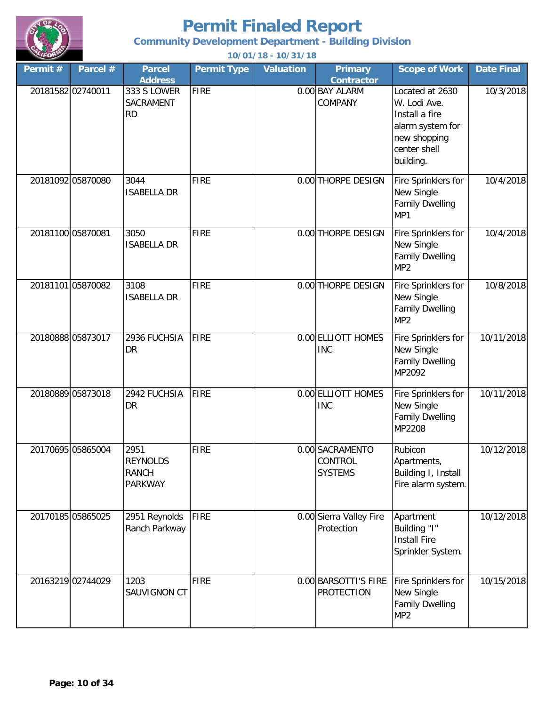

**Community Development Department - Building Division**

| Permit $#$        | Parcel #          | <b>Parcel</b><br><b>Address</b>                           | <b>Permit Type</b> | <b>Valuation</b> | <b>Primary</b><br><b>Contractor</b>          | <b>Scope of Work</b>                                                                                               | <b>Date Final</b> |
|-------------------|-------------------|-----------------------------------------------------------|--------------------|------------------|----------------------------------------------|--------------------------------------------------------------------------------------------------------------------|-------------------|
| 20181582 02740011 |                   | 333 S LOWER<br>SACRAMENT<br><b>RD</b>                     | <b>FIRE</b>        |                  | 0.00 BAY ALARM<br>COMPANY                    | Located at 2630<br>W. Lodi Ave.<br>Install a fire<br>alarm system for<br>new shopping<br>center shell<br>building. | 10/3/2018         |
|                   | 20181092 05870080 | 3044<br><b>ISABELLA DR</b>                                | <b>FIRE</b>        |                  | 0.00 THORPE DESIGN                           | Fire Sprinklers for<br>New Single<br><b>Family Dwelling</b><br>MP1                                                 | 10/4/2018         |
| 20181100 05870081 |                   | 3050<br><b>ISABELLA DR</b>                                | <b>FIRE</b>        |                  | 0.00 THORPE DESIGN                           | Fire Sprinklers for<br>New Single<br><b>Family Dwelling</b><br>MP <sub>2</sub>                                     | 10/4/2018         |
|                   | 20181101 05870082 | 3108<br><b>ISABELLA DR</b>                                | <b>FIRE</b>        |                  | 0.00 THORPE DESIGN                           | Fire Sprinklers for<br>New Single<br><b>Family Dwelling</b><br>MP <sub>2</sub>                                     | 10/8/2018         |
|                   | 20180888 05873017 | 2936 FUCHSIA<br><b>DR</b>                                 | FIRE               |                  | 0.00 ELLIOTT HOMES<br><b>INC</b>             | Fire Sprinklers for<br>New Single<br><b>Family Dwelling</b><br>MP2092                                              | 10/11/2018        |
|                   | 20180889 05873018 | 2942 FUCHSIA<br>DR                                        | <b>FIRE</b>        |                  | 0.00 ELLIOTT HOMES<br><b>INC</b>             | Fire Sprinklers for<br>New Single<br><b>Family Dwelling</b><br>MP2208                                              | 10/11/2018        |
|                   | 20170695 05865004 | 2951<br><b>REYNOLDS</b><br><b>RANCH</b><br><b>PARKWAY</b> | <b>FIRE</b>        |                  | 0.00 SACRAMENTO<br>CONTROL<br><b>SYSTEMS</b> | Rubicon<br>Apartments,<br>Building I, Install<br>Fire alarm system.                                                | 10/12/2018        |
|                   | 20170185 05865025 | 2951 Reynolds<br>Ranch Parkway                            | <b>FIRE</b>        |                  | 0.00 Sierra Valley Fire<br>Protection        | Apartment<br>Building "I"<br><b>Install Fire</b><br>Sprinkler System.                                              | 10/12/2018        |
|                   | 20163219 02744029 | 1203<br>SAUVIGNON CT                                      | <b>FIRE</b>        |                  | 0.00 BARSOTTI'S FIRE<br><b>PROTECTION</b>    | Fire Sprinklers for<br>New Single<br><b>Family Dwelling</b><br>MP <sub>2</sub>                                     | 10/15/2018        |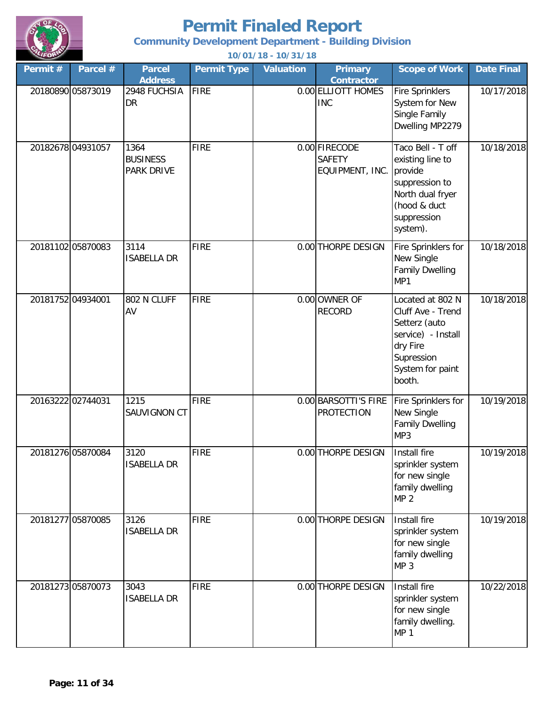

**Community Development Department - Building Division**

| Permit # | Parcel #          | <b>Parcel</b><br><b>Address</b>              | <b>Permit Type</b> | <b>Valuation</b> | <b>Primary</b><br><b>Contractor</b>               | <b>Scope of Work</b>                                                                                                                 | Date Final |
|----------|-------------------|----------------------------------------------|--------------------|------------------|---------------------------------------------------|--------------------------------------------------------------------------------------------------------------------------------------|------------|
|          | 20180890 05873019 | 2948 FUCHSIA<br><b>DR</b>                    | <b>FIRE</b>        |                  | 0.00 ELLIOTT HOMES<br><b>INC</b>                  | <b>Fire Sprinklers</b><br>System for New<br>Single Family<br>Dwelling MP2279                                                         | 10/17/2018 |
|          | 20182678 04931057 | 1364<br><b>BUSINESS</b><br><b>PARK DRIVE</b> | <b>FIRE</b>        |                  | 0.00 FIRECODE<br><b>SAFETY</b><br>EQUIPMENT, INC. | Taco Bell - T off<br>existing line to<br>provide<br>suppression to<br>North dual fryer<br>(hood & duct<br>suppression<br>system).    | 10/18/2018 |
|          | 20181102 05870083 | 3114<br><b>ISABELLA DR</b>                   | <b>FIRE</b>        |                  | 0.00 THORPE DESIGN                                | Fire Sprinklers for<br>New Single<br><b>Family Dwelling</b><br>MP1                                                                   | 10/18/2018 |
|          | 20181752 04934001 | 802 N CLUFF<br>AV                            | <b>FIRE</b>        |                  | 0.00 OWNER OF<br><b>RECORD</b>                    | Located at 802 N<br>Cluff Ave - Trend<br>Setterz (auto<br>service) - Install<br>dry Fire<br>Supression<br>System for paint<br>booth. | 10/18/2018 |
|          | 20163222 02744031 | 1215<br>SAUVIGNON CT                         | <b>FIRE</b>        |                  | 0.00 BARSOTTI'S FIRE<br><b>PROTECTION</b>         | Fire Sprinklers for<br>New Single<br><b>Family Dwelling</b><br>MP3                                                                   | 10/19/2018 |
|          | 20181276 05870084 | 3120<br><b>ISABELLA DR</b>                   | <b>FIRE</b>        |                  | 0.00 THORPE DESIGN                                | Install fire<br>sprinkler system<br>for new single<br>family dwelling<br>MP <sub>2</sub>                                             | 10/19/2018 |
|          | 20181277 05870085 | 3126<br><b>ISABELLA DR</b>                   | <b>FIRE</b>        |                  | 0.00 THORPE DESIGN                                | Install fire<br>sprinkler system<br>for new single<br>family dwelling<br>MP <sub>3</sub>                                             | 10/19/2018 |
|          | 20181273 05870073 | 3043<br><b>ISABELLA DR</b>                   | <b>FIRE</b>        |                  | 0.00 THORPE DESIGN                                | Install fire<br>sprinkler system<br>for new single<br>family dwelling.<br><b>MP 1</b>                                                | 10/22/2018 |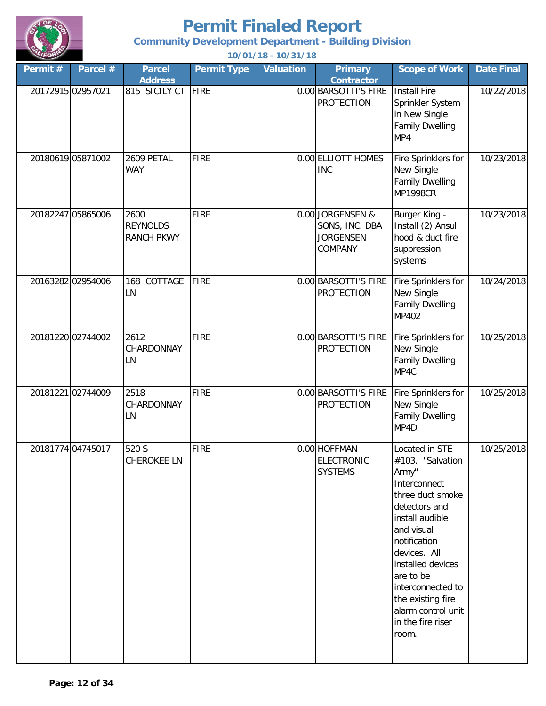

**Community Development Department - Building Division**

| Permit #          | Parcel #          | <b>Parcel</b><br><b>Address</b>              | <b>Permit Type</b> | <b>Valuation</b> | <b>Primary</b><br><b>Contractor</b>                               | <b>Scope of Work</b>                                                                                                                                                                                                                                                                              | <b>Date Final</b> |
|-------------------|-------------------|----------------------------------------------|--------------------|------------------|-------------------------------------------------------------------|---------------------------------------------------------------------------------------------------------------------------------------------------------------------------------------------------------------------------------------------------------------------------------------------------|-------------------|
| 20172915 02957021 |                   | 815 SICILY CT                                | <b>FIRE</b>        |                  | 0.00 BARSOTTI'S FIRE<br><b>PROTECTION</b>                         | Install Fire<br>Sprinkler System<br>in New Single<br><b>Family Dwelling</b><br>MP4                                                                                                                                                                                                                | 10/22/2018        |
|                   | 20180619 05871002 | 2609 PETAL<br><b>WAY</b>                     | <b>FIRE</b>        |                  | 0.00 ELLIOTT HOMES<br><b>INC</b>                                  | Fire Sprinklers for<br>New Single<br><b>Family Dwelling</b><br><b>MP1998CR</b>                                                                                                                                                                                                                    | 10/23/2018        |
|                   | 20182247 05865006 | 2600<br><b>REYNOLDS</b><br><b>RANCH PKWY</b> | <b>FIRE</b>        |                  | 0.00 JORGENSEN &<br>SONS, INC. DBA<br><b>JORGENSEN</b><br>COMPANY | Burger King -<br>Install (2) Ansul<br>hood & duct fire<br>suppression<br>systems                                                                                                                                                                                                                  | 10/23/2018        |
|                   | 20163282 02954006 | COTTAGE<br>168<br>LN                         | <b>FIRE</b>        |                  | 0.00 BARSOTTI'S FIRE<br><b>PROTECTION</b>                         | Fire Sprinklers for<br>New Single<br><b>Family Dwelling</b><br>MP402                                                                                                                                                                                                                              | 10/24/2018        |
|                   | 20181220 02744002 | 2612<br>CHARDONNAY<br>LN                     | <b>FIRE</b>        |                  | 0.00 BARSOTTI'S FIRE<br><b>PROTECTION</b>                         | Fire Sprinklers for<br>New Single<br><b>Family Dwelling</b><br>MP4C                                                                                                                                                                                                                               | 10/25/2018        |
|                   | 20181221 02744009 | 2518<br>CHARDONNAY<br>LN                     | <b>FIRE</b>        |                  | 0.00 BARSOTTI'S FIRE<br><b>PROTECTION</b>                         | Fire Sprinklers for<br>New Single<br><b>Family Dwelling</b><br>MP4D                                                                                                                                                                                                                               | 10/25/2018        |
|                   | 20181774 04745017 | 520 S<br><b>CHEROKEE LN</b>                  | <b>FIRE</b>        |                  | 0.00 HOFFMAN<br><b>ELECTRONIC</b><br><b>SYSTEMS</b>               | Located in STE<br>#103. "Salvation<br>Army"<br>Interconnect<br>three duct smoke<br>detectors and<br>install audible<br>and visual<br>notification<br>devices. All<br>installed devices<br>are to be<br>interconnected to<br>the existing fire<br>alarm control unit<br>in the fire riser<br>room. | 10/25/2018        |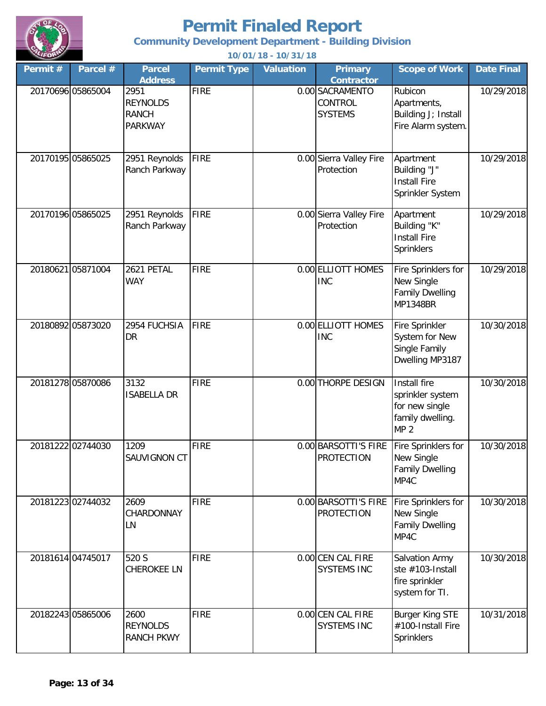

**Community Development Department - Building Division**

| Permit#           | Parcel #          | <b>Parcel</b><br><b>Address</b>                           | <b>Permit Type</b> | <b>Valuation</b> | <b>Primary</b><br><b>Contractor</b>          | <b>Scope of Work</b>                                                                      | <b>Date Final</b> |
|-------------------|-------------------|-----------------------------------------------------------|--------------------|------------------|----------------------------------------------|-------------------------------------------------------------------------------------------|-------------------|
|                   | 20170696 05865004 | 2951<br><b>REYNOLDS</b><br><b>RANCH</b><br><b>PARKWAY</b> | <b>FIRE</b>        |                  | 0.00 SACRAMENTO<br>CONTROL<br><b>SYSTEMS</b> | Rubicon<br>Apartments,<br>Building J; Install<br>Fire Alarm system.                       | 10/29/2018        |
| 20170195 05865025 |                   | 2951 Reynolds<br>Ranch Parkway                            | <b>FIRE</b>        |                  | 0.00 Sierra Valley Fire<br>Protection        | Apartment<br>Building "J"<br><b>Install Fire</b><br>Sprinkler System                      | 10/29/2018        |
|                   | 20170196 05865025 | 2951 Reynolds<br>Ranch Parkway                            | <b>FIRE</b>        |                  | 0.00 Sierra Valley Fire<br>Protection        | Apartment<br>Building "K"<br><b>Install Fire</b><br>Sprinklers                            | 10/29/2018        |
|                   | 20180621 05871004 | 2621 PETAL<br><b>WAY</b>                                  | <b>FIRE</b>        |                  | 0.00 ELLIOTT HOMES<br><b>INC</b>             | Fire Sprinklers for<br>New Single<br><b>Family Dwelling</b><br><b>MP1348BR</b>            | 10/29/2018        |
|                   | 20180892 05873020 | 2954 FUCHSIA<br><b>DR</b>                                 | <b>FIRE</b>        |                  | 0.00 ELLIOTT HOMES<br><b>INC</b>             | Fire Sprinkler<br>System for New<br>Single Family<br>Dwelling MP3187                      | 10/30/2018        |
|                   | 20181278 05870086 | 3132<br><b>ISABELLA DR</b>                                | <b>FIRE</b>        |                  | 0.00 THORPE DESIGN                           | Install fire<br>sprinkler system<br>for new single<br>family dwelling.<br>MP <sub>2</sub> | 10/30/2018        |
|                   | 20181222 02744030 | 1209<br>SAUVIGNON CT                                      | <b>FIRE</b>        |                  | 0.00 BARSOTTI'S FIRE<br><b>PROTECTION</b>    | Fire Sprinklers for<br>New Single<br><b>Family Dwelling</b><br>MP4C                       | 10/30/2018        |
|                   | 2018122302744032  | 2609<br>CHARDONNAY<br>LN                                  | <b>FIRE</b>        |                  | 0.00 BARSOTTI'S FIRE<br><b>PROTECTION</b>    | Fire Sprinklers for<br>New Single<br><b>Family Dwelling</b><br>MP4C                       | 10/30/2018        |
|                   | 20181614 04745017 | 520 S<br><b>CHEROKEE LN</b>                               | <b>FIRE</b>        |                  | 0.00 CEN CAL FIRE<br><b>SYSTEMS INC</b>      | Salvation Army<br>ste #103-Install<br>fire sprinkler<br>system for TI.                    | 10/30/2018        |
|                   | 20182243 05865006 | 2600<br><b>REYNOLDS</b><br><b>RANCH PKWY</b>              | <b>FIRE</b>        |                  | 0.00 CEN CAL FIRE<br><b>SYSTEMS INC</b>      | <b>Burger King STE</b><br>#100-Install Fire<br>Sprinklers                                 | 10/31/2018        |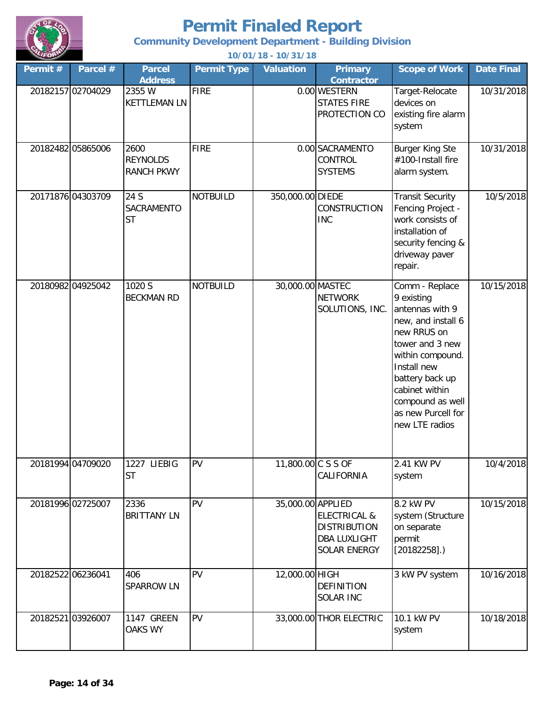

**Community Development Department - Building Division**

| Permit # | Parcel #          | <b>Parcel</b><br><b>Address</b>              | <b>Permit Type</b> | <b>Valuation</b>   | <b>Primary</b><br><b>Contractor</b>                                                   | <b>Scope of Work</b>                                                                                                                                                                                                                        | <b>Date Final</b> |
|----------|-------------------|----------------------------------------------|--------------------|--------------------|---------------------------------------------------------------------------------------|---------------------------------------------------------------------------------------------------------------------------------------------------------------------------------------------------------------------------------------------|-------------------|
|          | 20182157 02704029 | 2355 W<br><b>KETTLEMAN LN</b>                | <b>FIRE</b>        |                    | 0.00 WESTERN<br><b>STATES FIRE</b><br>PROTECTION CO                                   | Target-Relocate<br>devices on<br>existing fire alarm<br>system                                                                                                                                                                              | 10/31/2018        |
|          | 20182482 05865006 | 2600<br><b>REYNOLDS</b><br><b>RANCH PKWY</b> | <b>FIRE</b>        |                    | 0.00 SACRAMENTO<br>CONTROL<br><b>SYSTEMS</b>                                          | <b>Burger King Ste</b><br>#100-Install fire<br>alarm system.                                                                                                                                                                                | 10/31/2018        |
|          | 20171876 04303709 | 24 S<br>SACRAMENTO<br><b>ST</b>              | <b>NOTBUILD</b>    | 350,000.00 DIEDE   | CONSTRUCTION<br><b>INC</b>                                                            | <b>Transit Security</b><br>Fencing Project -<br>work consists of<br>installation of<br>security fencing &<br>driveway paver<br>repair.                                                                                                      | 10/5/2018         |
|          | 20180982 04925042 | 1020 S<br><b>BECKMAN RD</b>                  | <b>NOTBUILD</b>    | 30,000.00 MASTEC   | <b>NETWORK</b><br>SOLUTIONS, INC.                                                     | Comm - Replace<br>9 existing<br>antennas with 9<br>new, and install 6<br>new RRUS on<br>tower and 3 new<br>within compound.<br>Install new<br>battery back up<br>cabinet within<br>compound as well<br>as new Purcell for<br>new LTE radios | 10/15/2018        |
|          | 20181994 04709020 | 1227 LIEBIG<br><b>ST</b>                     | PV                 | 11,800.00 C S S OF | CALIFORNIA                                                                            | 2.41 KW PV<br>system                                                                                                                                                                                                                        | 10/4/2018         |
|          | 20181996 02725007 | 2336<br><b>BRITTANY LN</b>                   | PV                 | 35,000.00 APPLIED  | <b>ELECTRICAL &amp;</b><br><b>DISTRIBUTION</b><br><b>DBA LUXLIGHT</b><br>SOLAR ENERGY | 8.2 kW PV<br>system (Structure<br>on separate<br>permit<br>$[20182258]$ .)                                                                                                                                                                  | 10/15/2018        |
|          | 20182522 06236041 | 406<br><b>SPARROW LN</b>                     | PV                 | 12,000.00 HIGH     | <b>DEFINITION</b><br>SOLAR INC                                                        | 3 kW PV system                                                                                                                                                                                                                              | 10/16/2018        |
|          | 20182521 03926007 | 1147 GREEN<br><b>OAKS WY</b>                 | PV                 |                    | 33,000.00 THOR ELECTRIC                                                               | 10.1 kW PV<br>system                                                                                                                                                                                                                        | 10/18/2018        |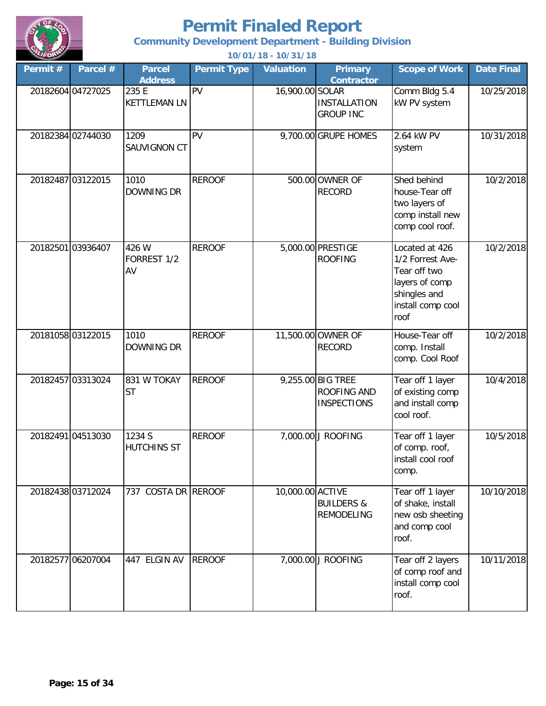

**Community Development Department - Building Division**

| Permit # | Parcel #          | <b>Parcel</b><br><b>Address</b> | <b>Permit Type</b> | <b>Valuation</b> | <b>Primary</b><br><b>Contractor</b>                    | <b>Scope of Work</b>                                                                                              | <b>Date Final</b> |
|----------|-------------------|---------------------------------|--------------------|------------------|--------------------------------------------------------|-------------------------------------------------------------------------------------------------------------------|-------------------|
|          | 20182604 04727025 | 235 E<br><b>KETTLEMAN LN</b>    | PV                 | 16,900.00 SOLAR  | <b>INSTALLATION</b><br><b>GROUP INC</b>                | Comm Bldg 5.4<br>kW PV system                                                                                     | 10/25/2018        |
|          | 20182384 02744030 | 1209<br>SAUVIGNON CT            | PV                 |                  | 9,700.00 GRUPE HOMES                                   | 2.64 kW PV<br>system                                                                                              | 10/31/2018        |
|          | 20182487 03122015 | 1010<br><b>DOWNING DR</b>       | <b>REROOF</b>      |                  | 500.00 OWNER OF<br><b>RECORD</b>                       | Shed behind<br>house-Tear off<br>two layers of<br>comp install new<br>comp cool roof.                             | 10/2/2018         |
|          | 2018250103936407  | 426 W<br>FORREST 1/2<br>AV      | <b>REROOF</b>      |                  | 5,000.00 PRESTIGE<br><b>ROOFING</b>                    | Located at 426<br>1/2 Forrest Ave-<br>Tear off two<br>layers of comp<br>shingles and<br>install comp cool<br>roof | 10/2/2018         |
|          | 20181058 03122015 | 1010<br>DOWNING DR              | <b>REROOF</b>      |                  | 11,500.00 OWNER OF<br><b>RECORD</b>                    | House-Tear off<br>comp. Install<br>comp. Cool Roof                                                                | 10/2/2018         |
|          | 20182457 03313024 | 831 W TOKAY<br><b>ST</b>        | <b>REROOF</b>      |                  | 9,255.00 BIG TREE<br>ROOFING AND<br><b>INSPECTIONS</b> | Tear off 1 layer<br>of existing comp<br>and install comp<br>cool roof.                                            | 10/4/2018         |
|          | 20182491 04513030 | 1234 S<br>HUTCHINS ST           | <b>REROOF</b>      |                  | 7,000.00 J ROOFING                                     | Tear off 1 layer<br>of comp. roof,<br>install cool roof<br>comp.                                                  | 10/5/2018         |
|          | 20182438 03712024 | 737 COSTA DR REROOF             |                    | 10,000.00 ACTIVE | <b>BUILDERS &amp;</b><br><b>REMODELING</b>             | Tear off 1 layer<br>of shake, install<br>new osb sheeting<br>and comp cool<br>roof.                               | 10/10/2018        |
|          | 20182577 06207004 | 447 ELGIN AV                    | <b>REROOF</b>      |                  | 7,000.00 J ROOFING                                     | Tear off 2 layers<br>of comp roof and<br>install comp cool<br>roof.                                               | 10/11/2018        |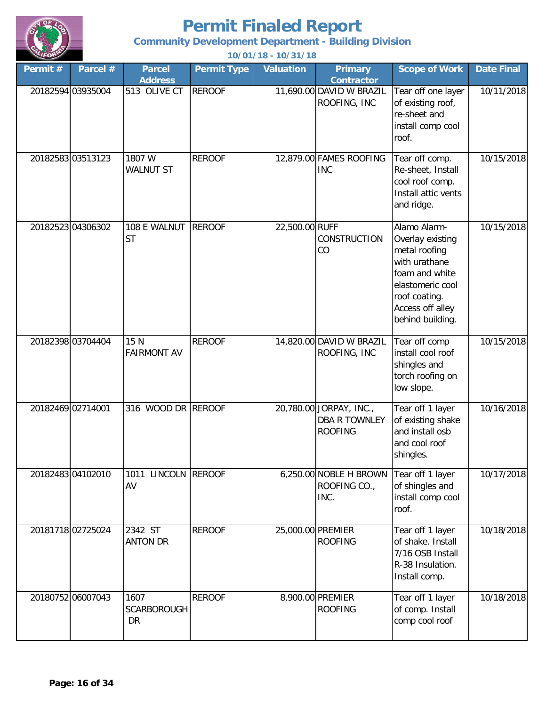

**Community Development Department - Building Division**

| Permit#           | Parcel #          | <b>Parcel</b>                    | <b>Permit Type</b> | <b>Valuation</b>  | <b>Primary</b>                                                    | <b>Scope of Work</b>                                                                                                                                              | <b>Date Final</b> |
|-------------------|-------------------|----------------------------------|--------------------|-------------------|-------------------------------------------------------------------|-------------------------------------------------------------------------------------------------------------------------------------------------------------------|-------------------|
|                   |                   | <b>Address</b>                   |                    |                   | <b>Contractor</b>                                                 |                                                                                                                                                                   |                   |
|                   | 20182594 03935004 | 513 OLIVE CT                     | <b>REROOF</b>      |                   | 11,690.00 DAVID W BRAZIL<br>ROOFING, INC                          | Tear off one layer<br>of existing roof,<br>re-sheet and<br>install comp cool<br>roof.                                                                             | 10/11/2018        |
|                   | 20182583 03513123 | 1807 W<br><b>WALNUT ST</b>       | <b>REROOF</b>      |                   | 12,879.00 FAMES ROOFING<br><b>INC</b>                             | Tear off comp.<br>Re-sheet, Install<br>cool roof comp.<br>Install attic vents<br>and ridge.                                                                       | 10/15/2018        |
|                   | 20182523 04306302 | 108 E WALNUT<br><b>ST</b>        | <b>REROOF</b>      | 22,500.00 RUFF    | CONSTRUCTION<br>CO                                                | Alamo Alarm-<br>Overlay existing<br>metal roofing<br>with urathane<br>foam and white<br>elastomeric cool<br>roof coating.<br>Access off alley<br>behind building. | 10/15/2018        |
|                   | 20182398 03704404 | 15 N<br><b>FAIRMONT AV</b>       | <b>REROOF</b>      |                   | 14,820.00 DAVID W BRAZIL<br>ROOFING, INC                          | Tear off comp<br>install cool roof<br>shingles and<br>torch roofing on<br>low slope.                                                                              | 10/15/2018        |
| 20182469 02714001 |                   | 316 WOOD DR REROOF               |                    |                   | 20,780.00 JORPAY, INC.,<br><b>DBA R TOWNLEY</b><br><b>ROOFING</b> | Tear off 1 layer<br>of existing shake<br>and install osb<br>and cool roof<br>shingles.                                                                            | 10/16/2018        |
|                   | 20182483 04102010 | 1011 LINCOLN REROOF<br>AV        |                    |                   | 6,250.00 NOBLE H BROWN<br>ROOFING CO.,<br>INC.                    | Tear off 1 layer<br>of shingles and<br>install comp cool<br>roof.                                                                                                 | 10/17/2018        |
|                   | 20181718 02725024 | 2342 ST<br><b>ANTON DR</b>       | <b>REROOF</b>      | 25,000.00 PREMIER | <b>ROOFING</b>                                                    | Tear off 1 layer<br>of shake. Install<br>7/16 OSB Install<br>R-38 Insulation.<br>Install comp.                                                                    | 10/18/2018        |
|                   | 20180752 06007043 | 1607<br>SCARBOROUGH<br><b>DR</b> | <b>REROOF</b>      |                   | 8,900.00 PREMIER<br><b>ROOFING</b>                                | Tear off 1 layer<br>of comp. Install<br>comp cool roof                                                                                                            | 10/18/2018        |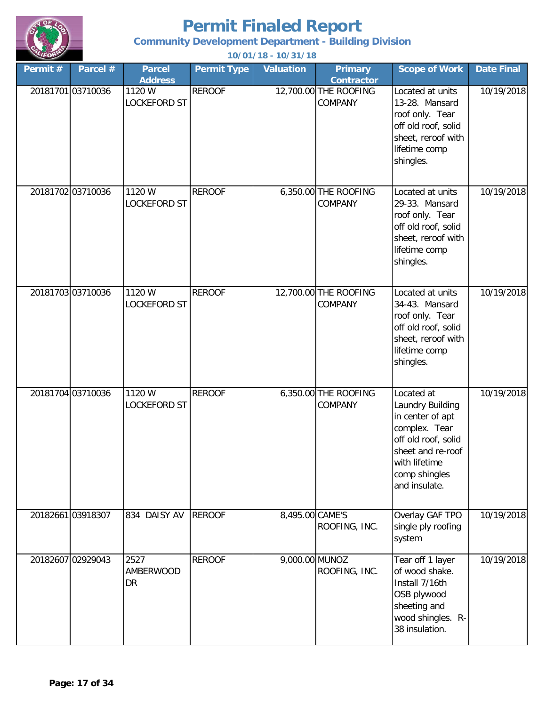

**Community Development Department - Building Division**

| Permit # | Parcel #          | <b>Parcel</b><br><b>Address</b> | <b>Permit Type</b> | <b>Valuation</b> | <b>Primary</b><br><b>Contractor</b>    | <b>Scope of Work</b>                                                                                                                                               | <b>Date Final</b> |
|----------|-------------------|---------------------------------|--------------------|------------------|----------------------------------------|--------------------------------------------------------------------------------------------------------------------------------------------------------------------|-------------------|
|          | 2018170103710036  | 1120 W<br><b>LOCKEFORD ST</b>   | <b>REROOF</b>      |                  | 12,700.00 THE ROOFING<br>COMPANY       | Located at units<br>13-28. Mansard<br>roof only. Tear<br>off old roof, solid<br>sheet, reroof with<br>lifetime comp<br>shingles.                                   | 10/19/2018        |
|          | 20181702 03710036 | 1120 W<br><b>LOCKEFORD ST</b>   | <b>REROOF</b>      |                  | 6,350.00 THE ROOFING<br>COMPANY        | Located at units<br>29-33. Mansard<br>roof only. Tear<br>off old roof, solid<br>sheet, reroof with<br>lifetime comp<br>shingles.                                   | 10/19/2018        |
|          | 20181703 03710036 | 1120 W<br>LOCKEFORD ST          | <b>REROOF</b>      |                  | 12,700.00 THE ROOFING<br>COMPANY       | Located at units<br>34-43. Mansard<br>roof only. Tear<br>off old roof, solid<br>sheet, reroof with<br>lifetime comp<br>shingles.                                   | 10/19/2018        |
|          | 20181704 03710036 | 1120 W<br><b>LOCKEFORD ST</b>   | <b>REROOF</b>      |                  | 6,350.00 THE ROOFING<br><b>COMPANY</b> | Located at<br>Laundry Building<br>in center of apt<br>complex. Tear<br>off old roof, solid<br>sheet and re-roof<br>with lifetime<br>comp shingles<br>and insulate. | 10/19/2018        |
|          | 20182661 03918307 | 834 DAISY AV                    | <b>REROOF</b>      | 8,495.00 CAME'S  | ROOFING, INC.                          | Overlay GAF TPO<br>single ply roofing<br>system                                                                                                                    | 10/19/2018        |
|          | 20182607 02929043 | 2527<br>AMBERWOOD<br><b>DR</b>  | <b>REROOF</b>      | 9,000.00 MUNOZ   | ROOFING, INC.                          | Tear off 1 layer<br>of wood shake.<br>Install 7/16th<br>OSB plywood<br>sheeting and<br>wood shingles. R-<br>38 insulation.                                         | 10/19/2018        |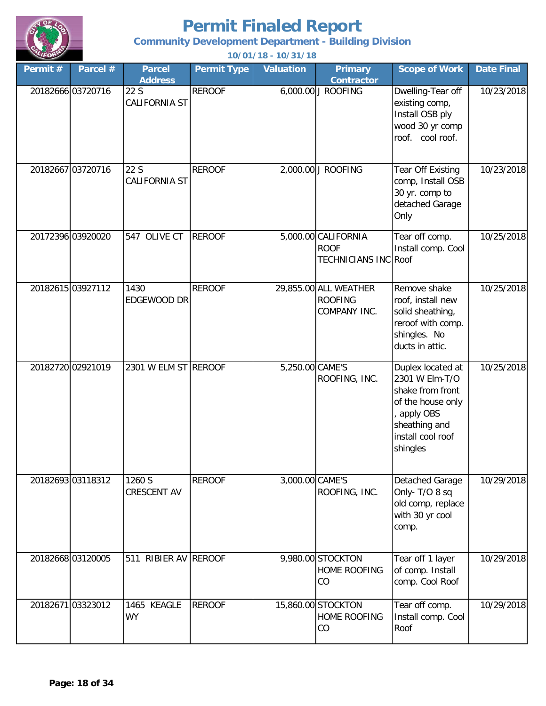

**Community Development Department - Building Division**

| Permit # | Parcel #          | <b>Parcel</b>                                  | 10701710<br><b>Permit Type</b> | <b>Valuation</b> | <b>Primary</b>                                                    | <b>Scope of Work</b>                                                                                                                        | <b>Date Final</b> |
|----------|-------------------|------------------------------------------------|--------------------------------|------------------|-------------------------------------------------------------------|---------------------------------------------------------------------------------------------------------------------------------------------|-------------------|
|          | 20182666 03720716 | <b>Address</b><br>22 S<br><b>CALIFORNIA ST</b> | <b>REROOF</b>                  |                  | <b>Contractor</b><br>6,000.00 J ROOFING                           | Dwelling-Tear off<br>existing comp,<br>Install OSB ply<br>wood 30 yr comp<br>roof. cool roof.                                               | 10/23/2018        |
|          | 20182667 03720716 | 22 S<br><b>CALIFORNIA ST</b>                   | <b>REROOF</b>                  |                  | 2,000.00 J ROOFING                                                | <b>Tear Off Existing</b><br>comp, Install OSB<br>30 yr. comp to<br>detached Garage<br>Only                                                  | 10/23/2018        |
|          | 20172396 03920020 | 547 OLIVE CT                                   | <b>REROOF</b>                  |                  | 5,000.00 CALIFORNIA<br><b>ROOF</b><br><b>TECHNICIANS INC Roof</b> | Tear off comp.<br>Install comp. Cool                                                                                                        | 10/25/2018        |
|          | 20182615 03927112 | 1430<br>EDGEWOOD DR                            | <b>REROOF</b>                  |                  | 29,855.00 ALL WEATHER<br><b>ROOFING</b><br>COMPANY INC.           | Remove shake<br>roof, install new<br>solid sheathing,<br>reroof with comp.<br>shingles. No<br>ducts in attic.                               | 10/25/2018        |
|          | 20182720 02921019 | 2301 W ELM ST REROOF                           |                                | 5,250.00 CAME'S  | ROOFING, INC.                                                     | Duplex located at<br>2301 W Elm-T/O<br>shake from front<br>of the house only<br>apply OBS<br>sheathing and<br>install cool roof<br>shingles | 10/25/2018        |
|          | 20182693 03118312 | 1260 S<br><b>CRESCENT AV</b>                   | <b>REROOF</b>                  | 3,000.00 CAME'S  | ROOFING, INC.                                                     | Detached Garage<br>Only-T/O 8 sq<br>old comp, replace<br>with 30 yr cool<br>comp.                                                           | 10/29/2018        |
|          | 20182668 03120005 | 511 RIBIER AV REROOF                           |                                |                  | 9,980.00 STOCKTON<br><b>HOME ROOFING</b><br>CO                    | Tear off 1 layer<br>of comp. Install<br>comp. Cool Roof                                                                                     | 10/29/2018        |
|          | 20182671 03323012 | 1465 KEAGLE<br><b>WY</b>                       | <b>REROOF</b>                  |                  | 15,860.00 STOCKTON<br><b>HOME ROOFING</b><br>CO                   | Tear off comp.<br>Install comp. Cool<br>Roof                                                                                                | 10/29/2018        |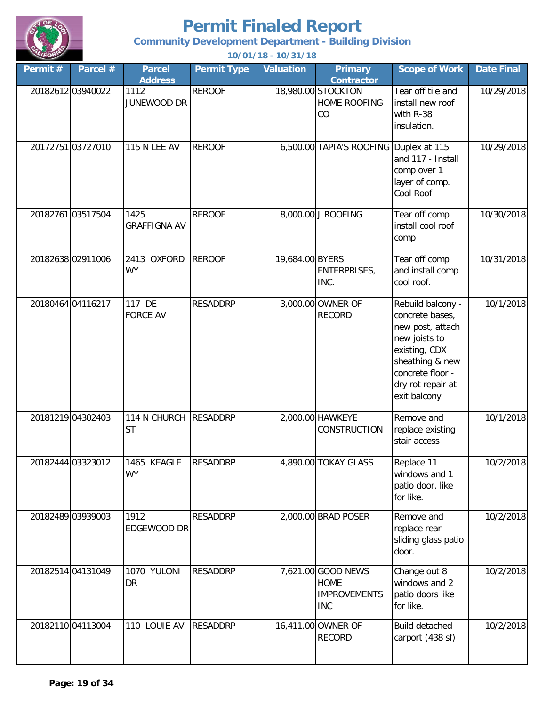

**Community Development Department - Building Division**

| Permit# | Parcel #          | <b>Parcel</b><br><b>Address</b>    | <b>Permit Type</b> | <b>Valuation</b> | <b>Primary</b><br><b>Contractor</b>                                    | <b>Scope of Work</b>                                                                                                                                                   | <b>Date Final</b> |
|---------|-------------------|------------------------------------|--------------------|------------------|------------------------------------------------------------------------|------------------------------------------------------------------------------------------------------------------------------------------------------------------------|-------------------|
|         | 20182612 03940022 | 1112<br>JUNEWOOD DR                | <b>REROOF</b>      |                  | 18,980.00 STOCKTON<br><b>HOME ROOFING</b><br>CO                        | Tear off tile and<br>install new roof<br>with R-38<br>insulation.                                                                                                      | 10/29/2018        |
|         | 2017275103727010  | <b>115 N LEE AV</b>                | <b>REROOF</b>      |                  | 6,500.00 TAPIA'S ROOFING Duplex at 115                                 | and 117 - Install<br>comp over 1<br>layer of comp.<br>Cool Roof                                                                                                        | 10/29/2018        |
|         | 20182761 03517504 | 1425<br><b>GRAFFIGNA AV</b>        | <b>REROOF</b>      |                  | 8,000.00 J ROOFING                                                     | Tear off comp<br>install cool roof<br>comp                                                                                                                             | 10/30/2018        |
|         | 20182638 02911006 | 2413 OXFORD<br><b>WY</b>           | <b>REROOF</b>      | 19,684.00 BYERS  | <b>ENTERPRISES,</b><br>INC.                                            | Tear off comp<br>and install comp<br>cool roof.                                                                                                                        | 10/31/2018        |
|         | 20180464 04116217 | 117 DE<br><b>FORCE AV</b>          | <b>RESADDRP</b>    |                  | 3,000.00 OWNER OF<br><b>RECORD</b>                                     | Rebuild balcony -<br>concrete bases,<br>new post, attach<br>new joists to<br>existing, CDX<br>sheathing & new<br>concrete floor -<br>dry rot repair at<br>exit balcony | 10/1/2018         |
|         | 20181219 04302403 | 114 N CHURCH RESADDRP<br><b>ST</b> |                    |                  | 2,000.00 HAWKEYE<br><b>CONSTRUCTION</b>                                | Remove and<br>replace existing<br>stair access                                                                                                                         | 10/1/2018         |
|         | 20182444 03323012 | 1465 KEAGLE<br><b>WY</b>           | <b>RESADDRP</b>    |                  | 4,890.00 TOKAY GLASS                                                   | Replace 11<br>windows and 1<br>patio door. like<br>for like.                                                                                                           | 10/2/2018         |
|         | 20182489 03939003 | 1912<br>EDGEWOOD DR                | <b>RESADDRP</b>    |                  | 2,000.00 BRAD POSER                                                    | Remove and<br>replace rear<br>sliding glass patio<br>door.                                                                                                             | 10/2/2018         |
|         | 20182514 04131049 | 1070 YULONI<br><b>DR</b>           | <b>RESADDRP</b>    |                  | 7,621.00 GOOD NEWS<br><b>HOME</b><br><b>IMPROVEMENTS</b><br><b>INC</b> | Change out 8<br>windows and 2<br>patio doors like<br>for like.                                                                                                         | 10/2/2018         |
|         | 20182110 04113004 | 110 LOUIE AV                       | <b>RESADDRP</b>    |                  | 16,411.00 OWNER OF<br><b>RECORD</b>                                    | Build detached<br>carport (438 sf)                                                                                                                                     | 10/2/2018         |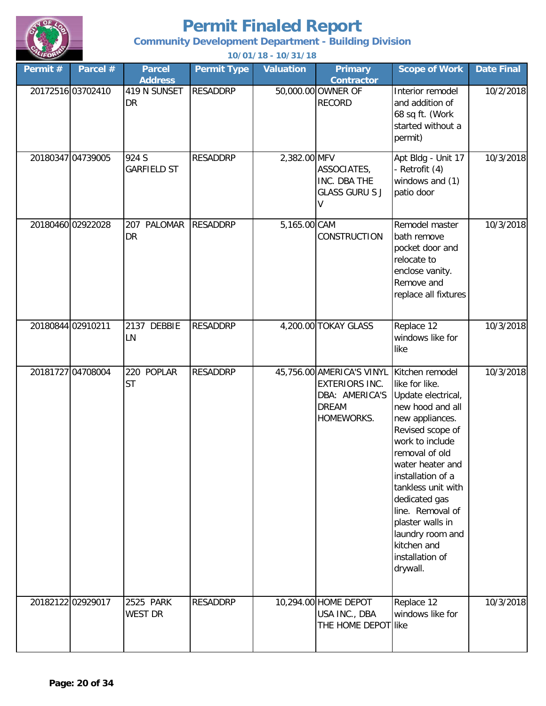

**Community Development Department - Building Division**

| $\sim$            |          |                                 |                    | 10/01/10 - 10/31/10 |                                                                                                    |                                                                                                                                                                                                                                                                                                                                                   |                   |
|-------------------|----------|---------------------------------|--------------------|---------------------|----------------------------------------------------------------------------------------------------|---------------------------------------------------------------------------------------------------------------------------------------------------------------------------------------------------------------------------------------------------------------------------------------------------------------------------------------------------|-------------------|
| Permit #          | Parcel # | <b>Parcel</b><br><b>Address</b> | <b>Permit Type</b> | <b>Valuation</b>    | <b>Primary</b><br><b>Contractor</b>                                                                | <b>Scope of Work</b>                                                                                                                                                                                                                                                                                                                              | <b>Date Final</b> |
| 20172516 03702410 |          | 419 N SUNSET<br><b>DR</b>       | <b>RESADDRP</b>    |                     | 50,000.00 OWNER OF<br><b>RECORD</b>                                                                | Interior remodel<br>and addition of<br>68 sq ft. (Work<br>started without a<br>permit)                                                                                                                                                                                                                                                            | 10/2/2018         |
| 20180347 04739005 |          | 924 S<br><b>GARFIELD ST</b>     | <b>RESADDRP</b>    | 2,382.00 MFV        | ASSOCIATES,<br>INC. DBA THE<br><b>GLASS GURU S J</b>                                               | Apt Bldg - Unit 17<br>- Retrofit (4)<br>windows and (1)<br>patio door                                                                                                                                                                                                                                                                             | 10/3/2018         |
| 20180460 02922028 |          | 207 PALOMAR<br>DR               | <b>RESADDRP</b>    | 5,165.00 CAM        | <b>CONSTRUCTION</b>                                                                                | Remodel master<br>bath remove<br>pocket door and<br>relocate to<br>enclose vanity.<br>Remove and<br>replace all fixtures                                                                                                                                                                                                                          | 10/3/2018         |
| 20180844 02910211 |          | 2137 DEBBIE<br>LN               | <b>RESADDRP</b>    |                     | 4,200.00 TOKAY GLASS                                                                               | Replace 12<br>windows like for<br>like                                                                                                                                                                                                                                                                                                            | 10/3/2018         |
| 20181727 04708004 |          | POPLAR<br>220<br><b>ST</b>      | <b>RESADDRP</b>    |                     | 45,756.00 AMERICA'S VINYL<br><b>EXTERIORS INC.</b><br>DBA: AMERICA'S<br><b>DREAM</b><br>HOMEWORKS. | Kitchen remodel<br>like for like.<br>Update electrical,<br>new hood and all<br>new appliances.<br>Revised scope of<br>work to include<br>removal of old<br>water heater and<br>installation of a<br>tankless unit with<br>dedicated gas<br>line. Removal of<br>plaster walls in<br>laundry room and<br>kitchen and<br>installation of<br>drywall. | 10/3/2018         |
| 20182122 02929017 |          | 2525 PARK<br><b>WEST DR</b>     | <b>RESADDRP</b>    |                     | 10,294.00 HOME DEPOT<br>USA INC., DBA<br>THE HOME DEPOT like                                       | Replace 12<br>windows like for                                                                                                                                                                                                                                                                                                                    | 10/3/2018         |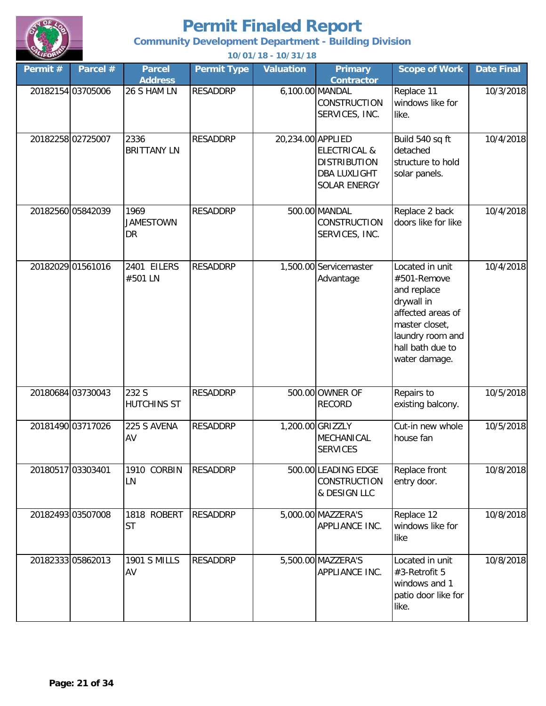

**Community Development Department - Building Division**

| Permit # | Parcel #          | <b>Parcel</b><br><b>Address</b> | <b>Permit Type</b> | <b>Valuation</b>  | <b>Primary</b><br><b>Contractor</b>                                                   | <b>Scope of Work</b>                                                                                                                                        | <b>Date Final</b> |
|----------|-------------------|---------------------------------|--------------------|-------------------|---------------------------------------------------------------------------------------|-------------------------------------------------------------------------------------------------------------------------------------------------------------|-------------------|
|          | 20182154 03705006 | 26 S HAM LN                     | <b>RESADDRP</b>    |                   | 6,100.00 MANDAL<br><b>CONSTRUCTION</b><br>SERVICES, INC.                              | Replace 11<br>windows like for<br>like.                                                                                                                     | 10/3/2018         |
|          | 20182258 02725007 | 2336<br><b>BRITTANY LN</b>      | <b>RESADDRP</b>    | 20,234.00 APPLIED | <b>ELECTRICAL &amp;</b><br><b>DISTRIBUTION</b><br><b>DBA LUXLIGHT</b><br>SOLAR ENERGY | Build 540 sq ft<br>detached<br>structure to hold<br>solar panels.                                                                                           | 10/4/2018         |
|          | 20182560 05842039 | 1969<br><b>JAMESTOWN</b><br>DR  | <b>RESADDRP</b>    |                   | 500.00 MANDAL<br>CONSTRUCTION<br>SERVICES, INC.                                       | Replace 2 back<br>doors like for like                                                                                                                       | 10/4/2018         |
|          | 20182029 01561016 | 2401 EILERS<br>#501 LN          | <b>RESADDRP</b>    |                   | 1,500.00 Servicemaster<br>Advantage                                                   | Located in unit<br>#501-Remove<br>and replace<br>drywall in<br>affected areas of<br>master closet,<br>laundry room and<br>hall bath due to<br>water damage. | 10/4/2018         |
|          | 20180684 03730043 | 232 S<br><b>HUTCHINS ST</b>     | <b>RESADDRP</b>    |                   | 500.00 OWNER OF<br><b>RECORD</b>                                                      | Repairs to<br>existing balcony.                                                                                                                             | 10/5/2018         |
|          | 20181490 03717026 | 225 S AVENA<br>AV               | <b>RESADDRP</b>    |                   | 1,200.00 GRIZZLY<br>MECHANICAL<br><b>SERVICES</b>                                     | Cut-in new whole<br>house fan                                                                                                                               | 10/5/2018         |
|          | 20180517 03303401 | 1910 CORBIN<br>LN               | <b>RESADDRP</b>    |                   | 500.00 LEADING EDGE<br>CONSTRUCTION<br>& DESIGN LLC                                   | Replace front<br>entry door.                                                                                                                                | 10/8/2018         |
|          | 20182493 03507008 | 1818 ROBERT<br><b>ST</b>        | <b>RESADDRP</b>    |                   | 5,000.00 MAZZERA'S<br>APPLIANCE INC.                                                  | Replace 12<br>windows like for<br>like                                                                                                                      | 10/8/2018         |
|          | 20182333 05862013 | <b>1901 S MILLS</b><br>AV       | <b>RESADDRP</b>    |                   | 5,500.00 MAZZERA'S<br>APPLIANCE INC.                                                  | Located in unit<br>#3-Retrofit 5<br>windows and 1<br>patio door like for<br>like.                                                                           | 10/8/2018         |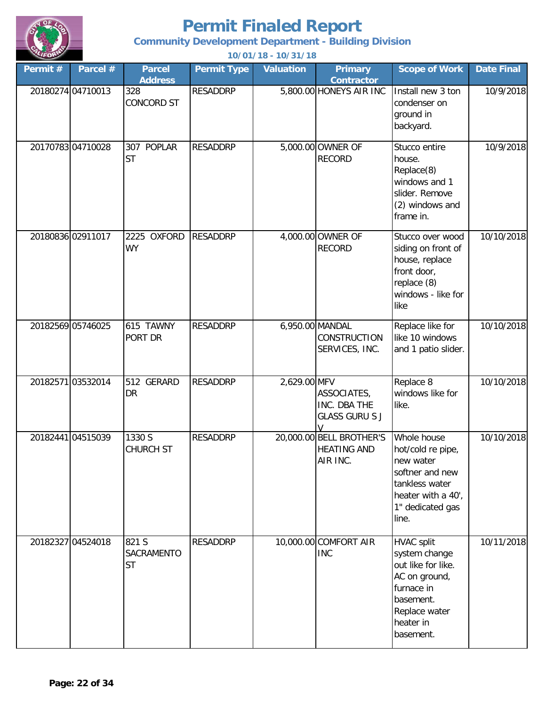

**Community Development Department - Building Division**

| Permit #          | Parcel #          | <b>Parcel</b><br><b>Address</b>  | <b>Permit Type</b> | <b>Valuation</b> | <b>Primary</b><br><b>Contractor</b>                        | <b>Scope of Work</b>                                                                                                                            | <b>Date Final</b> |
|-------------------|-------------------|----------------------------------|--------------------|------------------|------------------------------------------------------------|-------------------------------------------------------------------------------------------------------------------------------------------------|-------------------|
|                   | 20180274 04710013 | 328<br><b>CONCORD ST</b>         | <b>RESADDRP</b>    |                  | 5,800.00 HONEYS AIR INC                                    | Install new 3 ton<br>condenser on<br>ground in<br>backyard.                                                                                     | 10/9/2018         |
| 20170783 04710028 |                   | 307 POPLAR<br><b>ST</b>          | <b>RESADDRP</b>    |                  | 5,000.00 OWNER OF<br><b>RECORD</b>                         | Stucco entire<br>house.<br>Replace(8)<br>windows and 1<br>slider. Remove<br>(2) windows and<br>frame in.                                        | 10/9/2018         |
|                   | 20180836 02911017 | 2225 OXFORD<br><b>WY</b>         | <b>RESADDRP</b>    |                  | 4,000.00 OWNER OF<br><b>RECORD</b>                         | Stucco over wood<br>siding on front of<br>house, replace<br>front door,<br>replace (8)<br>windows - like for<br>like                            | 10/10/2018        |
| 20182569 05746025 |                   | 615 TAWNY<br>PORT DR             | <b>RESADDRP</b>    | 6,950.00 MANDAL  | CONSTRUCTION<br>SERVICES, INC.                             | Replace like for<br>like 10 windows<br>and 1 patio slider.                                                                                      | 10/10/2018        |
|                   | 2018257103532014  | 512 GERARD<br><b>DR</b>          | <b>RESADDRP</b>    | 2,629.00 MFV     | ASSOCIATES,<br>INC. DBA THE<br><b>GLASS GURU S J</b>       | Replace 8<br>windows like for<br>like.                                                                                                          | 10/10/2018        |
|                   | 20182441 04515039 | 1330 S<br><b>CHURCH ST</b>       | <b>RESADDRP</b>    |                  | 20,000.00 BELL BROTHER'S<br><b>HEATING AND</b><br>AIR INC. | Whole house<br>hot/cold re pipe,<br>new water<br>softner and new<br>tankless water<br>heater with a 40',<br>1" dedicated gas<br>line.           | 10/10/2018        |
| 20182327 04524018 |                   | 821 S<br>SACRAMENTO<br><b>ST</b> | <b>RESADDRP</b>    |                  | 10,000.00 COMFORT AIR<br><b>INC</b>                        | <b>HVAC split</b><br>system change<br>out like for like.<br>AC on ground,<br>furnace in<br>basement.<br>Replace water<br>heater in<br>basement. | 10/11/2018        |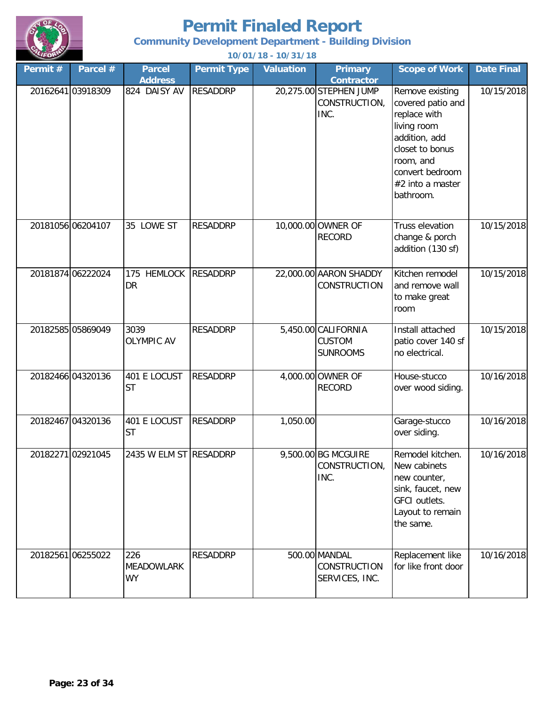

#### **Community Development Department - Building Division**

| Permit # | Parcel #          | <b>Parcel</b>                         | <b>Permit Type</b> | <b>Valuation</b> | <b>Primary</b>                                                       | <b>Scope of Work</b>                                                                                                                                                     | <b>Date Final</b> |
|----------|-------------------|---------------------------------------|--------------------|------------------|----------------------------------------------------------------------|--------------------------------------------------------------------------------------------------------------------------------------------------------------------------|-------------------|
|          | 20162641 03918309 | <b>Address</b><br>824 DAISY AV        | <b>RESADDRP</b>    |                  | <b>Contractor</b><br>20,275.00 STEPHEN JUMP<br>CONSTRUCTION,<br>INC. | Remove existing<br>covered patio and<br>replace with<br>living room<br>addition, add<br>closet to bonus<br>room, and<br>convert bedroom<br>#2 into a master<br>bathroom. | 10/15/2018        |
|          | 20181056 06204107 | 35 LOWE ST                            | <b>RESADDRP</b>    |                  | 10,000.00 OWNER OF<br><b>RECORD</b>                                  | Truss elevation<br>change & porch<br>addition (130 sf)                                                                                                                   | 10/15/2018        |
|          | 20181874 06222024 | <b>HEMLOCK</b><br>175<br><b>DR</b>    | <b>RESADDRP</b>    |                  | 22,000.00 AARON SHADDY<br>CONSTRUCTION                               | Kitchen remodel<br>and remove wall<br>to make great<br>room                                                                                                              | 10/15/2018        |
|          | 20182585 05869049 | 3039<br><b>OLYMPIC AV</b>             | <b>RESADDRP</b>    |                  | 5,450.00 CALIFORNIA<br><b>CUSTOM</b><br><b>SUNROOMS</b>              | Install attached<br>patio cover 140 sf<br>no electrical.                                                                                                                 | 10/15/2018        |
|          | 20182466 04320136 | 401 E LOCUST<br><b>ST</b>             | <b>RESADDRP</b>    |                  | 4,000.00 OWNER OF<br><b>RECORD</b>                                   | House-stucco<br>over wood siding.                                                                                                                                        | 10/16/2018        |
|          | 20182467 04320136 | 401 E LOCUST<br><b>ST</b>             | <b>RESADDRP</b>    | 1,050.00         |                                                                      | Garage-stucco<br>over siding.                                                                                                                                            | 10/16/2018        |
|          | 20182271 02921045 | 2435 W ELM ST RESADDRP                |                    |                  | 9,500.00 BG MCGUIRE<br>CONSTRUCTION,<br>INC.                         | Remodel kitchen.<br>New cabinets<br>new counter,<br>sink, faucet, new<br><b>GFCI</b> outlets.<br>Layout to remain<br>the same.                                           | 10/16/2018        |
|          | 20182561 06255022 | 226<br><b>MEADOWLARK</b><br><b>WY</b> | <b>RESADDRP</b>    |                  | 500.00 MANDAL<br>CONSTRUCTION<br>SERVICES, INC.                      | Replacement like<br>for like front door                                                                                                                                  | 10/16/2018        |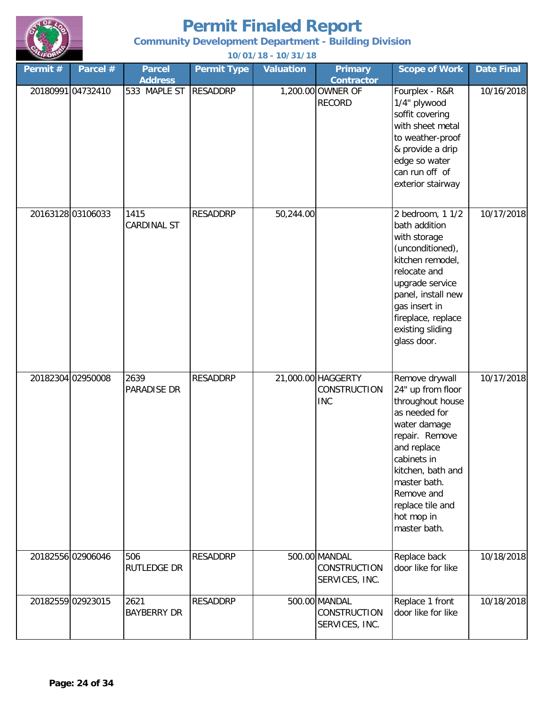

**Community Development Department - Building Division**

| Permit # | Parcel #          | <b>Parcel</b>                  | <b>Permit Type</b> | <b>Valuation</b> | <b>Primary</b>                                          | <b>Scope of Work</b>                                                                                                                                                                                                                          | <b>Date Final</b> |
|----------|-------------------|--------------------------------|--------------------|------------------|---------------------------------------------------------|-----------------------------------------------------------------------------------------------------------------------------------------------------------------------------------------------------------------------------------------------|-------------------|
|          | 20180991 04732410 | <b>Address</b><br>533 MAPLE ST | <b>RESADDRP</b>    |                  | <b>Contractor</b><br>1,200.00 OWNER OF<br><b>RECORD</b> | Fourplex - R&R<br>1/4" plywood<br>soffit covering<br>with sheet metal<br>to weather-proof<br>& provide a drip<br>edge so water<br>can run off of<br>exterior stairway                                                                         | 10/16/2018        |
|          | 20163128 03106033 | 1415<br><b>CARDINAL ST</b>     | <b>RESADDRP</b>    | 50,244.00        |                                                         | 2 bedroom, 1 1/2<br>bath addition<br>with storage<br>(unconditioned),<br>kitchen remodel,<br>relocate and<br>upgrade service<br>panel, install new<br>gas insert in<br>fireplace, replace<br>existing sliding<br>glass door.                  | 10/17/2018        |
|          | 20182304 02950008 | 2639<br>PARADISE DR            | <b>RESADDRP</b>    |                  | 21,000.00 HAGGERTY<br>CONSTRUCTION<br><b>INC</b>        | Remove drywall<br>24" up from floor<br>throughout house<br>as needed for<br>water damage<br>repair. Remove<br>and replace<br>cabinets in<br>kitchen, bath and<br>master bath.<br>Remove and<br>replace tile and<br>hot mop in<br>master bath. | 10/17/2018        |
|          | 20182556 02906046 | 506<br>RUTLEDGE DR             | <b>RESADDRP</b>    |                  | 500.00 MANDAL<br>CONSTRUCTION<br>SERVICES, INC.         | Replace back<br>door like for like                                                                                                                                                                                                            | 10/18/2018        |
|          | 20182559 02923015 | 2621<br><b>BAYBERRY DR</b>     | <b>RESADDRP</b>    |                  | 500.00 MANDAL<br>CONSTRUCTION<br>SERVICES, INC.         | Replace 1 front<br>door like for like                                                                                                                                                                                                         | 10/18/2018        |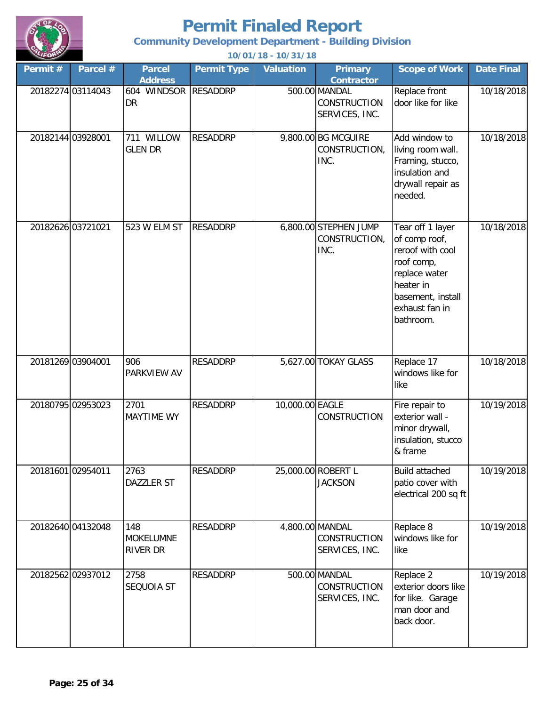

**Community Development Department - Building Division**

| Permit #          | Parcel #          | <b>Parcel</b><br><b>Address</b>     | <b>Permit Type</b> | <b>Valuation</b> | <b>Primary</b><br><b>Contractor</b>                      | <b>Scope of Work</b>                                                                                                                                  | <b>Date Final</b> |
|-------------------|-------------------|-------------------------------------|--------------------|------------------|----------------------------------------------------------|-------------------------------------------------------------------------------------------------------------------------------------------------------|-------------------|
|                   | 20182274 03114043 | 604 WINDSOR<br>DR                   | <b>RESADDRP</b>    |                  | 500.00 MANDAL<br>CONSTRUCTION<br>SERVICES, INC.          | Replace front<br>door like for like                                                                                                                   | 10/18/2018        |
| 20182144 03928001 |                   | 711 WILLOW<br><b>GLEN DR</b>        | <b>RESADDRP</b>    |                  | 9,800.00 BG MCGUIRE<br>CONSTRUCTION,<br>INC.             | Add window to<br>living room wall.<br>Framing, stucco,<br>insulation and<br>drywall repair as<br>needed.                                              | 10/18/2018        |
| 20182626 03721021 |                   | 523 W ELM ST                        | <b>RESADDRP</b>    |                  | 6,800.00 STEPHEN JUMP<br>CONSTRUCTION,<br>INC.           | Tear off 1 layer<br>of comp roof,<br>reroof with cool<br>roof comp,<br>replace water<br>heater in<br>basement, install<br>exhaust fan in<br>bathroom. | 10/18/2018        |
| 20181269 03904001 |                   | 906<br>PARKVIEW AV                  | <b>RESADDRP</b>    |                  | 5,627.00 TOKAY GLASS                                     | Replace 17<br>windows like for<br>like                                                                                                                | 10/18/2018        |
|                   | 20180795 02953023 | 2701<br><b>MAYTIME WY</b>           | <b>RESADDRP</b>    | 10,000.00 EAGLE  | <b>CONSTRUCTION</b>                                      | Fire repair to<br>exterior wall -<br>minor drywall,<br>insulation, stucco<br>& frame                                                                  | 10/19/2018        |
| 20181601 02954011 |                   | 2763<br><b>DAZZLER ST</b>           | <b>RESADDRP</b>    |                  | 25,000.00 ROBERT L<br><b>JACKSON</b>                     | <b>Build attached</b><br>patio cover with<br>electrical 200 sq ft                                                                                     | 10/19/2018        |
|                   | 20182640 04132048 | 148<br><b>MOKELUMNE</b><br>RIVER DR | <b>RESADDRP</b>    |                  | 4,800.00 MANDAL<br><b>CONSTRUCTION</b><br>SERVICES, INC. | Replace 8<br>windows like for<br>like                                                                                                                 | 10/19/2018        |
|                   | 20182562 02937012 | 2758<br>SEQUOIA ST                  | <b>RESADDRP</b>    |                  | 500.00 MANDAL<br>CONSTRUCTION<br>SERVICES, INC.          | Replace 2<br>exterior doors like<br>for like. Garage<br>man door and<br>back door.                                                                    | 10/19/2018        |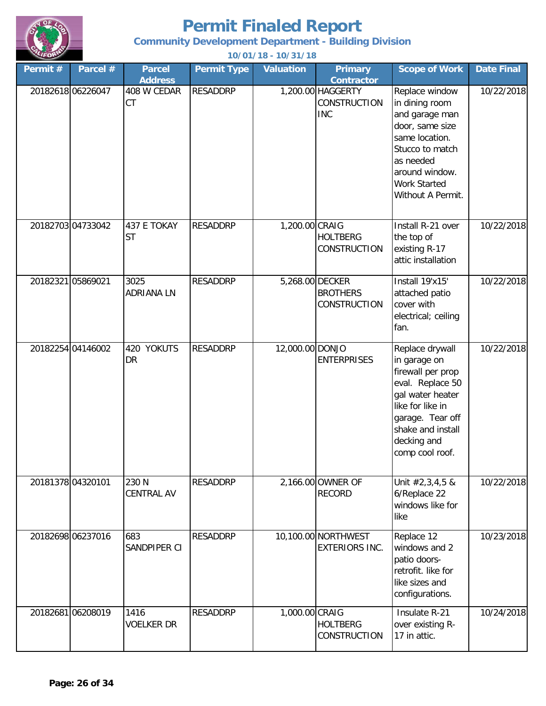

**Community Development Department - Building Division**

| Permit#           | Parcel #          | <b>Parcel</b>                              | <b>Permit Type</b> | <b>Valuation</b> | <b>Primary</b>                                                              | <b>Scope of Work</b>                                                                                                                                                                        | <b>Date Final</b> |
|-------------------|-------------------|--------------------------------------------|--------------------|------------------|-----------------------------------------------------------------------------|---------------------------------------------------------------------------------------------------------------------------------------------------------------------------------------------|-------------------|
| 20182618 06226047 |                   | <b>Address</b><br>408 W CEDAR<br><b>CT</b> | <b>RESADDRP</b>    |                  | <b>Contractor</b><br>1,200.00 HAGGERTY<br><b>CONSTRUCTION</b><br><b>INC</b> | Replace window<br>in dining room<br>and garage man<br>door, same size<br>same location.<br>Stucco to match<br>as needed<br>around window.<br><b>Work Started</b><br>Without A Permit.       | 10/22/2018        |
|                   | 20182703 04733042 | 437 E TOKAY<br><b>ST</b>                   | <b>RESADDRP</b>    | 1,200.00 CRAIG   | <b>HOLTBERG</b><br>CONSTRUCTION                                             | Install R-21 over<br>the top of<br>existing R-17<br>attic installation                                                                                                                      | 10/22/2018        |
| 20182321 05869021 |                   | 3025<br><b>ADRIANA LN</b>                  | <b>RESADDRP</b>    |                  | 5,268.00 DECKER<br><b>BROTHERS</b><br>CONSTRUCTION                          | Install 19'x15'<br>attached patio<br>cover with<br>electrical; ceiling<br>fan.                                                                                                              | 10/22/2018        |
|                   | 20182254 04146002 | <b>YOKUTS</b><br>420<br><b>DR</b>          | <b>RESADDRP</b>    | 12,000.00 DONJO  | <b>ENTERPRISES</b>                                                          | Replace drywall<br>in garage on<br>firewall per prop<br>eval. Replace 50<br>gal water heater<br>like for like in<br>garage. Tear off<br>shake and install<br>decking and<br>comp cool roof. | 10/22/2018        |
| 20181378 04320101 |                   | 230 N<br><b>CENTRAL AV</b>                 | <b>RESADDRP</b>    |                  | 2,166.00 OWNER OF<br><b>RECORD</b>                                          | Unit #2,3,4,5 &<br>6/Replace 22<br>windows like for<br>like                                                                                                                                 | 10/22/2018        |
|                   | 20182698 06237016 | 683<br>SANDPIPER CI                        | <b>RESADDRP</b>    |                  | 10,100.00 NORTHWEST<br><b>EXTERIORS INC.</b>                                | Replace 12<br>windows and 2<br>patio doors-<br>retrofit. like for<br>like sizes and<br>configurations.                                                                                      | 10/23/2018        |
|                   | 20182681 06208019 | 1416<br><b>VOELKER DR</b>                  | <b>RESADDRP</b>    | 1,000.00 CRAIG   | <b>HOLTBERG</b><br>CONSTRUCTION                                             | Insulate R-21<br>over existing R-<br>17 in attic.                                                                                                                                           | 10/24/2018        |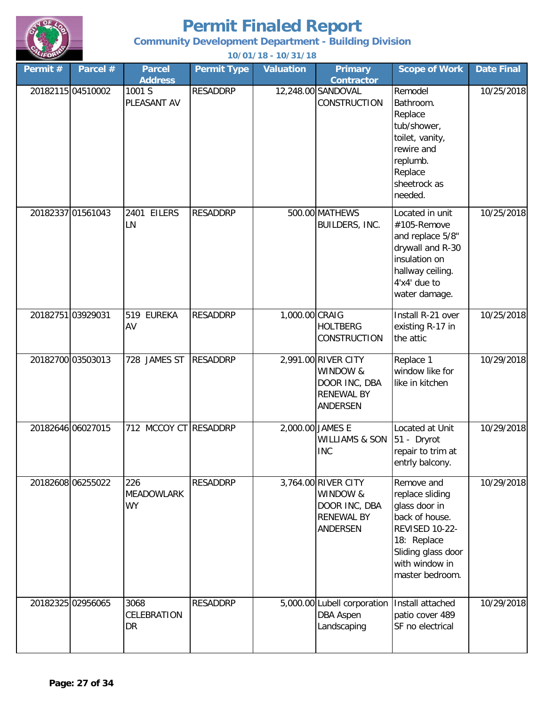

#### **Community Development Department - Building Division**

| Permit #          | Parcel #          | <b>Parcel</b><br><b>Address</b>       | <b>Permit Type</b> | <b>Valuation</b> | <b>Primary</b><br><b>Contractor</b>                                                      | <b>Scope of Work</b>                                                                                                                                                | <b>Date Final</b> |
|-------------------|-------------------|---------------------------------------|--------------------|------------------|------------------------------------------------------------------------------------------|---------------------------------------------------------------------------------------------------------------------------------------------------------------------|-------------------|
|                   | 20182115 04510002 | 1001 S<br>PLEASANT AV                 | <b>RESADDRP</b>    |                  | 12,248.00 SANDOVAL<br><b>CONSTRUCTION</b>                                                | Remodel<br>Bathroom.<br>Replace<br>tub/shower,<br>toilet, vanity,<br>rewire and<br>replumb.<br>Replace<br>sheetrock as<br>needed.                                   | 10/25/2018        |
|                   | 20182337 01561043 | 2401 EILERS<br>LN                     | <b>RESADDRP</b>    |                  | 500.00 MATHEWS<br>BUILDERS, INC.                                                         | Located in unit<br>#105-Remove<br>and replace 5/8"<br>drywall and R-30<br>insulation on<br>hallway ceiling.<br>4'x4' due to<br>water damage.                        | 10/25/2018        |
| 20182751 03929031 |                   | 519 EUREKA<br>AV                      | <b>RESADDRP</b>    | 1,000.00 CRAIG   | <b>HOLTBERG</b><br>CONSTRUCTION                                                          | Install R-21 over<br>existing R-17 in<br>the attic                                                                                                                  | 10/25/2018        |
|                   | 20182700 03503013 | 728 JAMES ST                          | <b>RESADDRP</b>    |                  | 2,991.00 RIVER CITY<br>WINDOW &<br>DOOR INC, DBA<br><b>RENEWAL BY</b><br><b>ANDERSEN</b> | Replace 1<br>window like for<br>like in kitchen                                                                                                                     | 10/29/2018        |
| 20182646 06027015 |                   | 712 MCCOY CT RESADDRP                 |                    |                  | 2,000.00 JAMES E<br><b>WILLIAMS &amp; SON</b><br><b>INC</b>                              | Located at Unit<br>51 - Dryrot<br>repair to trim at<br>entrly balcony.                                                                                              | 10/29/2018        |
|                   | 20182608 06255022 | 226<br><b>MEADOWLARK</b><br><b>WY</b> | <b>RESADDRP</b>    |                  | 3,764.00 RIVER CITY<br>WINDOW &<br>DOOR INC, DBA<br><b>RENEWAL BY</b><br>ANDERSEN        | Remove and<br>replace sliding<br>glass door in<br>back of house.<br><b>REVISED 10-22-</b><br>18: Replace<br>Sliding glass door<br>with window in<br>master bedroom. | 10/29/2018        |
|                   | 20182325 02956065 | 3068<br>CELEBRATION<br>DR             | <b>RESADDRP</b>    |                  | 5,000.00 Lubell corporation<br><b>DBA Aspen</b><br>Landscaping                           | Install attached<br>patio cover 489<br>SF no electrical                                                                                                             | 10/29/2018        |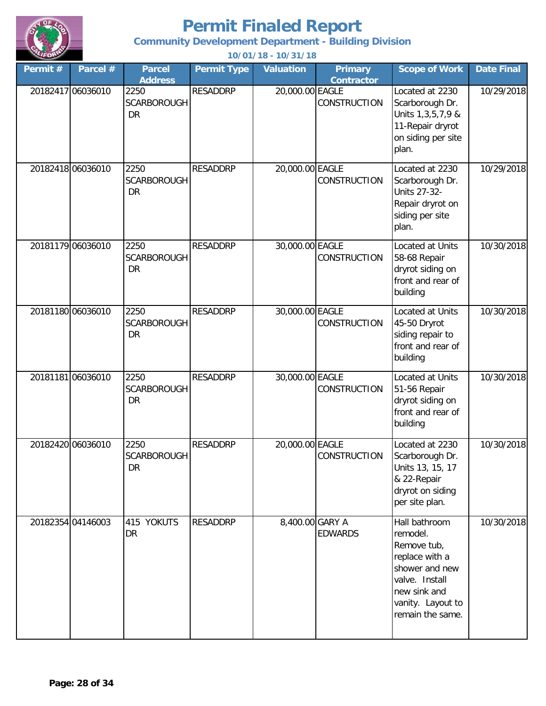

**Community Development Department - Building Division**

| Permit # | Parcel #          | <b>Parcel</b><br><b>Address</b>         | <b>Permit Type</b> | <b>Valuation</b> | <b>Primary</b><br><b>Contractor</b> | <b>Scope of Work</b>                                                                                                                                    | <b>Date Final</b> |
|----------|-------------------|-----------------------------------------|--------------------|------------------|-------------------------------------|---------------------------------------------------------------------------------------------------------------------------------------------------------|-------------------|
|          | 20182417 06036010 | 2250<br><b>SCARBOROUGH</b><br><b>DR</b> | <b>RESADDRP</b>    | 20,000.00 EAGLE  | <b>CONSTRUCTION</b>                 | Located at 2230<br>Scarborough Dr.<br>Units 1, 3, 5, 7, 9 &<br>11-Repair dryrot<br>on siding per site<br>plan.                                          | 10/29/2018        |
|          | 20182418 06036010 | 2250<br><b>SCARBOROUGH</b><br><b>DR</b> | <b>RESADDRP</b>    | 20,000.00 EAGLE  | <b>CONSTRUCTION</b>                 | Located at 2230<br>Scarborough Dr.<br><b>Units 27-32-</b><br>Repair dryrot on<br>siding per site<br>plan.                                               | 10/29/2018        |
|          | 20181179 06036010 | 2250<br><b>SCARBOROUGH</b><br><b>DR</b> | <b>RESADDRP</b>    | 30,000.00 EAGLE  | <b>CONSTRUCTION</b>                 | Located at Units<br>58-68 Repair<br>dryrot siding on<br>front and rear of<br>building                                                                   | 10/30/2018        |
|          | 20181180 06036010 | 2250<br><b>SCARBOROUGH</b><br>DR        | <b>RESADDRP</b>    | 30,000.00 EAGLE  | <b>CONSTRUCTION</b>                 | Located at Units<br>45-50 Dryrot<br>siding repair to<br>front and rear of<br>building                                                                   | 10/30/2018        |
|          | 20181181 06036010 | 2250<br><b>SCARBOROUGH</b><br><b>DR</b> | <b>RESADDRP</b>    | 30,000.00 EAGLE  | <b>CONSTRUCTION</b>                 | Located at Units<br>51-56 Repair<br>dryrot siding on<br>front and rear of<br>building                                                                   | 10/30/2018        |
|          | 20182420 06036010 | 2250<br><b>SCARBOROUGH</b><br>DR        | <b>RESADDRP</b>    | 20,000.00 EAGLE  | CONSTRUCTION                        | Located at 2230<br>Scarborough Dr.<br>Units 13, 15, 17<br>& 22-Repair<br>dryrot on siding<br>per site plan.                                             | 10/30/2018        |
|          | 20182354 04146003 | 415 YOKUTS<br>DR                        | RESADDRP           | 8,400.00 GARY A  | <b>EDWARDS</b>                      | Hall bathroom<br>remodel.<br>Remove tub,<br>replace with a<br>shower and new<br>valve. Install<br>new sink and<br>vanity. Layout to<br>remain the same. | 10/30/2018        |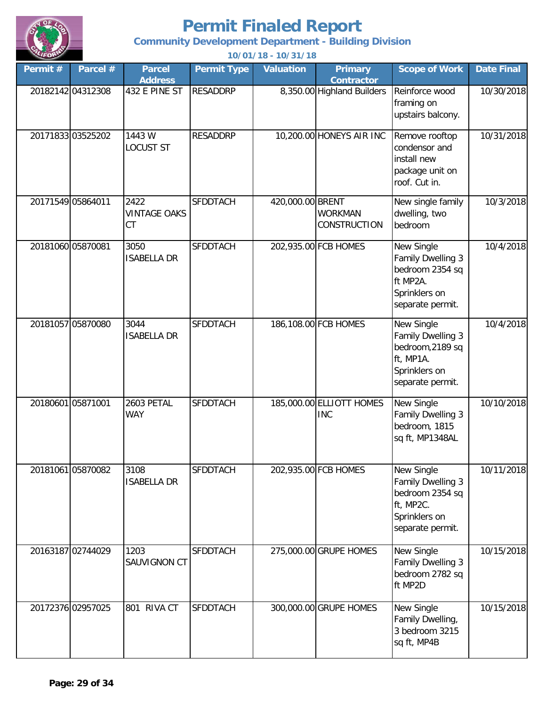

**Community Development Department - Building Division**

| Permit $#$        | Parcel #          | <b>Parcel</b><br><b>Address</b>          | <b>Permit Type</b> | <b>Valuation</b> | <b>Primary</b><br><b>Contractor</b>    | <b>Scope of Work</b>                                                                                  | <b>Date Final</b> |
|-------------------|-------------------|------------------------------------------|--------------------|------------------|----------------------------------------|-------------------------------------------------------------------------------------------------------|-------------------|
| 20182142 04312308 |                   | 432 E PINE ST                            | <b>RESADDRP</b>    |                  | 8,350.00 Highland Builders             | Reinforce wood<br>framing on<br>upstairs balcony.                                                     | 10/30/2018        |
|                   | 20171833 03525202 | 1443 W<br><b>LOCUST ST</b>               | <b>RESADDRP</b>    |                  | 10,200.00 HONEYS AIR INC               | Remove rooftop<br>condensor and<br>install new<br>package unit on<br>roof. Cut in.                    | 10/31/2018        |
| 20171549 05864011 |                   | 2422<br><b>VINTAGE OAKS</b><br><b>CT</b> | <b>SFDDTACH</b>    | 420,000.00 BRENT | <b>WORKMAN</b><br>CONSTRUCTION         | New single family<br>dwelling, two<br>bedroom                                                         | 10/3/2018         |
| 20181060 05870081 |                   | 3050<br><b>ISABELLA DR</b>               | <b>SFDDTACH</b>    |                  | 202,935.00 FCB HOMES                   | New Single<br>Family Dwelling 3<br>bedroom 2354 sq<br>ft MP2A.<br>Sprinklers on<br>separate permit.   | 10/4/2018         |
|                   | 20181057 05870080 | 3044<br><b>ISABELLA DR</b>               | <b>SFDDTACH</b>    |                  | 186,108.00 FCB HOMES                   | New Single<br>Family Dwelling 3<br>bedroom, 2189 sq<br>ft, MP1A.<br>Sprinklers on<br>separate permit. | 10/4/2018         |
| 20180601 05871001 |                   | 2603 PETAL<br><b>WAY</b>                 | <b>SFDDTACH</b>    |                  | 185,000.00 ELLIOTT HOMES<br><b>INC</b> | New Single<br>Family Dwelling 3<br>bedroom, 1815<br>sq ft, MP1348AL                                   | 10/10/2018        |
|                   | 20181061 05870082 | 3108<br><b>ISABELLA DR</b>               | <b>SFDDTACH</b>    |                  | 202,935.00 FCB HOMES                   | New Single<br>Family Dwelling 3<br>bedroom 2354 sq<br>ft, MP2C.<br>Sprinklers on<br>separate permit.  | 10/11/2018        |
|                   | 20163187 02744029 | 1203<br>SAUVIGNON CT                     | <b>SFDDTACH</b>    |                  | 275,000.00 GRUPE HOMES                 | New Single<br>Family Dwelling 3<br>bedroom 2782 sq<br>ft MP2D                                         | 10/15/2018        |
| 20172376 02957025 |                   | 801 RIVA CT                              | <b>SFDDTACH</b>    |                  | 300,000.00 GRUPE HOMES                 | New Single<br>Family Dwelling,<br>3 bedroom 3215<br>sq ft, MP4B                                       | 10/15/2018        |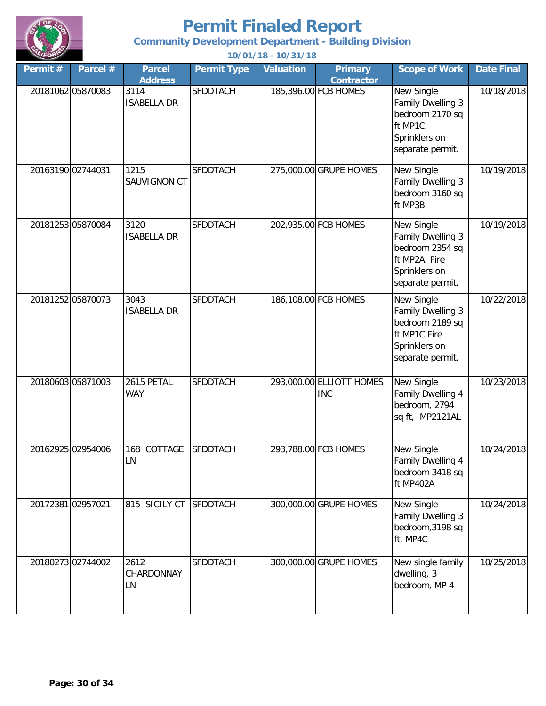

**Community Development Department - Building Division**

| Permit # | Parcel #          | <b>Parcel</b><br><b>Address</b> | <b>Permit Type</b> | <b>Valuation</b> | <b>Primary</b><br><b>Contractor</b>    | <b>Scope of Work</b>                                                                                     | <b>Date Final</b> |
|----------|-------------------|---------------------------------|--------------------|------------------|----------------------------------------|----------------------------------------------------------------------------------------------------------|-------------------|
|          | 20181062 05870083 | 3114<br><b>ISABELLA DR</b>      | <b>SFDDTACH</b>    |                  | 185,396.00 FCB HOMES                   | New Single<br>Family Dwelling 3<br>bedroom 2170 sq<br>ft MP1C.<br>Sprinklers on<br>separate permit.      | 10/18/2018        |
|          | 20163190 02744031 | 1215<br>SAUVIGNON CT            | <b>SFDDTACH</b>    |                  | 275,000.00 GRUPE HOMES                 | New Single<br>Family Dwelling 3<br>bedroom 3160 sq<br>ft MP3B                                            | 10/19/2018        |
|          | 20181253 05870084 | 3120<br><b>ISABELLA DR</b>      | <b>SFDDTACH</b>    |                  | 202,935.00 FCB HOMES                   | New Single<br>Family Dwelling 3<br>bedroom 2354 sq<br>ft MP2A. Fire<br>Sprinklers on<br>separate permit. | 10/19/2018        |
|          | 20181252 05870073 | 3043<br><b>ISABELLA DR</b>      | <b>SFDDTACH</b>    |                  | 186,108.00 FCB HOMES                   | New Single<br>Family Dwelling 3<br>bedroom 2189 sq<br>ft MP1C Fire<br>Sprinklers on<br>separate permit.  | 10/22/2018        |
|          | 20180603 05871003 | 2615 PETAL<br><b>WAY</b>        | <b>SFDDTACH</b>    |                  | 293,000.00 ELLIOTT HOMES<br><b>INC</b> | New Single<br>Family Dwelling 4<br>bedroom, 2794<br>sq ft, MP2121AL                                      | 10/23/2018        |
|          | 20162925 02954006 | 168 COTTAGE<br>LN               | <b>SFDDTACH</b>    |                  | 293,788.00 FCB HOMES                   | New Single<br>Family Dwelling 4<br>bedroom 3418 sq<br>ft MP402A                                          | 10/24/2018        |
|          | 20172381 02957021 | 815 SICILY CT                   | <b>SFDDTACH</b>    |                  | 300,000.00 GRUPE HOMES                 | New Single<br>Family Dwelling 3<br>bedroom, 3198 sq<br>ft, MP4C                                          | 10/24/2018        |
|          | 20180273 02744002 | 2612<br>CHARDONNAY<br>LN        | <b>SFDDTACH</b>    |                  | 300,000.00 GRUPE HOMES                 | New single family<br>dwelling, 3<br>bedroom, MP 4                                                        | 10/25/2018        |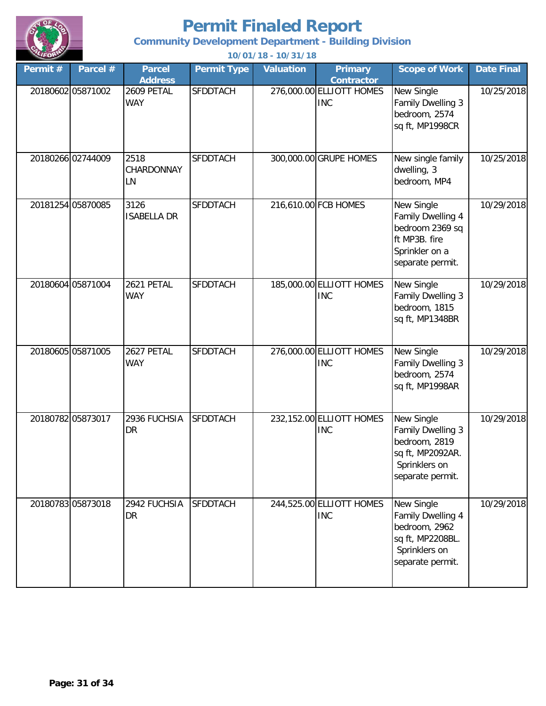

**Community Development Department - Building Division**

|          |                   |                                 |                    | 10701710 - 10701710 |                                        |                                                                                                           |                   |
|----------|-------------------|---------------------------------|--------------------|---------------------|----------------------------------------|-----------------------------------------------------------------------------------------------------------|-------------------|
| Permit # | Parcel #          | <b>Parcel</b><br><b>Address</b> | <b>Permit Type</b> | <b>Valuation</b>    | <b>Primary</b><br><b>Contractor</b>    | <b>Scope of Work</b>                                                                                      | <b>Date Final</b> |
|          | 20180602 05871002 | 2609 PETAL<br><b>WAY</b>        | <b>SFDDTACH</b>    |                     | 276,000.00 ELLIOTT HOMES<br><b>INC</b> | New Single<br><b>Family Dwelling 3</b><br>bedroom, 2574<br>sq ft, MP1998CR                                | 10/25/2018        |
|          | 20180266 02744009 | 2518<br>CHARDONNAY<br>LN        | <b>SFDDTACH</b>    |                     | 300,000.00 GRUPE HOMES                 | New single family<br>dwelling, 3<br>bedroom, MP4                                                          | 10/25/2018        |
|          | 20181254 05870085 | 3126<br><b>ISABELLA DR</b>      | <b>SFDDTACH</b>    |                     | 216,610.00 FCB HOMES                   | New Single<br>Family Dwelling 4<br>bedroom 2369 sq<br>ft MP3B. fire<br>Sprinkler on a<br>separate permit. | 10/29/2018        |
|          | 20180604 05871004 | 2621 PETAL<br><b>WAY</b>        | <b>SFDDTACH</b>    |                     | 185,000.00 ELLIOTT HOMES<br><b>INC</b> | New Single<br>Family Dwelling 3<br>bedroom, 1815<br>sq ft, MP1348BR                                       | 10/29/2018        |
|          | 20180605 05871005 | 2627 PETAL<br><b>WAY</b>        | <b>SFDDTACH</b>    |                     | 276,000.00 ELLIOTT HOMES<br><b>INC</b> | New Single<br><b>Family Dwelling 3</b><br>bedroom, 2574<br>sq ft, MP1998AR                                | 10/29/2018        |
|          | 20180782 05873017 | 2936 FUCHSIA<br>DR              | <b>SFDDTACH</b>    |                     | 232,152.00 ELLIOTT HOMES<br><b>INC</b> | New Single<br>Family Dwelling 3<br>bedroom, 2819<br>sq ft, MP2092AR.<br>Sprinklers on<br>separate permit. | 10/29/2018        |
|          | 20180783 05873018 | 2942 FUCHSIA<br>DR              | <b>SFDDTACH</b>    |                     | 244,525.00 ELLIOTT HOMES<br><b>INC</b> | New Single<br>Family Dwelling 4<br>bedroom, 2962<br>sq ft, MP2208BL.<br>Sprinklers on<br>separate permit. | 10/29/2018        |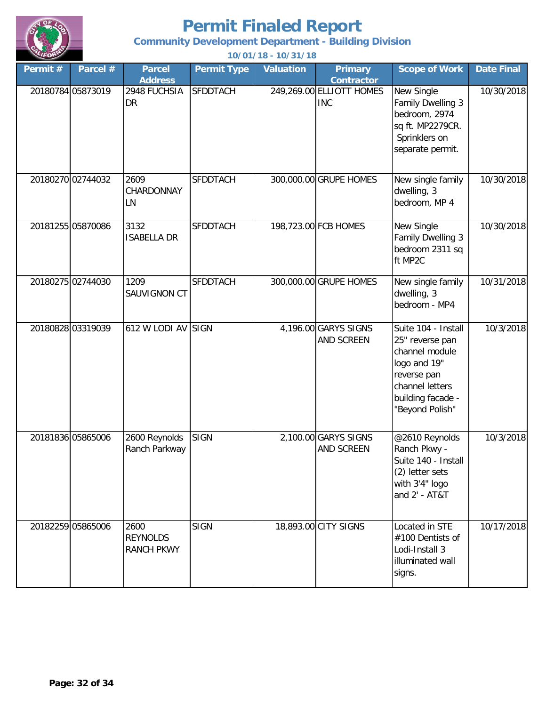

**Community Development Department - Building Division**

| Permit# | Parcel #          | <b>Parcel</b><br><b>Address</b>              | <b>Permit Type</b> | <b>Valuation</b> | <b>Primary</b><br><b>Contractor</b>    | <b>Scope of Work</b>                                                                                                                               | <b>Date Final</b> |
|---------|-------------------|----------------------------------------------|--------------------|------------------|----------------------------------------|----------------------------------------------------------------------------------------------------------------------------------------------------|-------------------|
|         | 20180784 05873019 | 2948 FUCHSIA<br>DR                           | <b>SFDDTACH</b>    |                  | 249,269.00 ELLIOTT HOMES<br><b>INC</b> | New Single<br>Family Dwelling 3<br>bedroom, 2974<br>sq ft. MP2279CR.<br>Sprinklers on<br>separate permit.                                          | 10/30/2018        |
|         | 20180270 02744032 | 2609<br>CHARDONNAY<br>LN                     | <b>SFDDTACH</b>    |                  | 300,000.00 GRUPE HOMES                 | New single family<br>dwelling, 3<br>bedroom, MP 4                                                                                                  | 10/30/2018        |
|         | 20181255 05870086 | 3132<br><b>ISABELLA DR</b>                   | <b>SFDDTACH</b>    |                  | 198,723.00 FCB HOMES                   | New Single<br>Family Dwelling 3<br>bedroom 2311 sq<br>ft MP2C                                                                                      | 10/30/2018        |
|         | 20180275 02744030 | 1209<br>SAUVIGNON CT                         | <b>SFDDTACH</b>    |                  | 300,000.00 GRUPE HOMES                 | New single family<br>dwelling, 3<br>bedroom - MP4                                                                                                  | 10/31/2018        |
|         | 20180828 03319039 | 612 W LODI AV SIGN                           |                    |                  | 4,196.00 GARYS SIGNS<br>AND SCREEN     | Suite 104 - Install<br>25" reverse pan<br>channel module<br>logo and 19"<br>reverse pan<br>channel letters<br>building facade -<br>"Beyond Polish" | 10/3/2018         |
|         | 20181836 05865006 | 2600 Reynolds<br>Ranch Parkway               | <b>SIGN</b>        |                  | 2,100.00 GARYS SIGNS<br>AND SCREEN     | @2610 Reynolds<br>Ranch Pkwy -<br>Suite 140 - Install<br>(2) letter sets<br>with 3'4" logo<br>and 2' - AT&T                                        | 10/3/2018         |
|         | 20182259 05865006 | 2600<br><b>REYNOLDS</b><br><b>RANCH PKWY</b> | <b>SIGN</b>        |                  | 18,893.00 CITY SIGNS                   | Located in STE<br>#100 Dentists of<br>Lodi-Install 3<br>illuminated wall<br>signs.                                                                 | 10/17/2018        |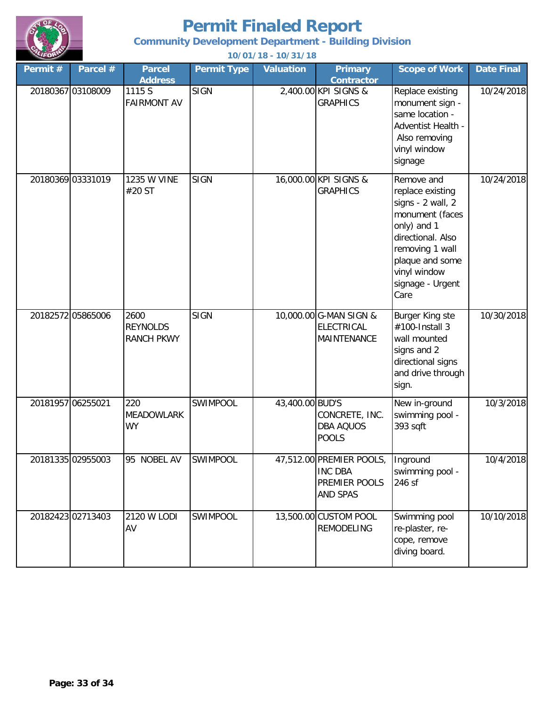

**Community Development Department - Building Division**

| Permit # | Parcel #          | <b>Parcel</b><br><b>Address</b>              | <b>Permit Type</b> | <b>Valuation</b> | <b>Primary</b><br><b>Contractor</b>                                     | <b>Scope of Work</b>                                                                                                                                                                         | <b>Date Final</b> |
|----------|-------------------|----------------------------------------------|--------------------|------------------|-------------------------------------------------------------------------|----------------------------------------------------------------------------------------------------------------------------------------------------------------------------------------------|-------------------|
|          | 20180367 03108009 | 1115 S<br><b>FAIRMONT AV</b>                 | <b>SIGN</b>        |                  | 2,400.00 KPI SIGNS &<br><b>GRAPHICS</b>                                 | Replace existing<br>monument sign -<br>same location -<br>Adventist Health -<br>Also removing<br>vinyl window<br>signage                                                                     | 10/24/2018        |
|          | 20180369 03331019 | <b>1235 W VINE</b><br>#20 ST                 | <b>SIGN</b>        |                  | 16,000.00 KPI SIGNS &<br><b>GRAPHICS</b>                                | Remove and<br>replace existing<br>signs - 2 wall, 2<br>monument (faces<br>only) and 1<br>directional. Also<br>removing 1 wall<br>plaque and some<br>vinyl window<br>signage - Urgent<br>Care | 10/24/2018        |
|          | 20182572 05865006 | 2600<br><b>REYNOLDS</b><br><b>RANCH PKWY</b> | <b>SIGN</b>        |                  | 10,000.00 G-MAN SIGN &<br><b>ELECTRICAL</b><br>MAINTENANCE              | Burger King ste<br>#100-Install 3<br>wall mounted<br>signs and 2<br>directional signs<br>and drive through<br>sign.                                                                          | 10/30/2018        |
|          | 20181957 06255021 | 220<br><b>MEADOWLARK</b><br><b>WY</b>        | SWIMPOOL           | 43,400.00 BUD'S  | CONCRETE, INC.<br><b>DBA AQUOS</b><br><b>POOLS</b>                      | New in-ground<br>swimming pool -<br>393 sqft                                                                                                                                                 | 10/3/2018         |
|          | 20181335 02955003 | 95 NOBEL AV                                  | SWIMPOOL           |                  | 47,512.00 PREMIER POOLS,<br><b>INC DBA</b><br>PREMIER POOLS<br>AND SPAS | Inground<br>swimming pool -<br>246 sf                                                                                                                                                        | 10/4/2018         |
|          | 20182423 02713403 | 2120 W LODI<br>AV                            | SWIMPOOL           |                  | 13,500.00 CUSTOM POOL<br><b>REMODELING</b>                              | Swimming pool<br>re-plaster, re-<br>cope, remove<br>diving board.                                                                                                                            | 10/10/2018        |